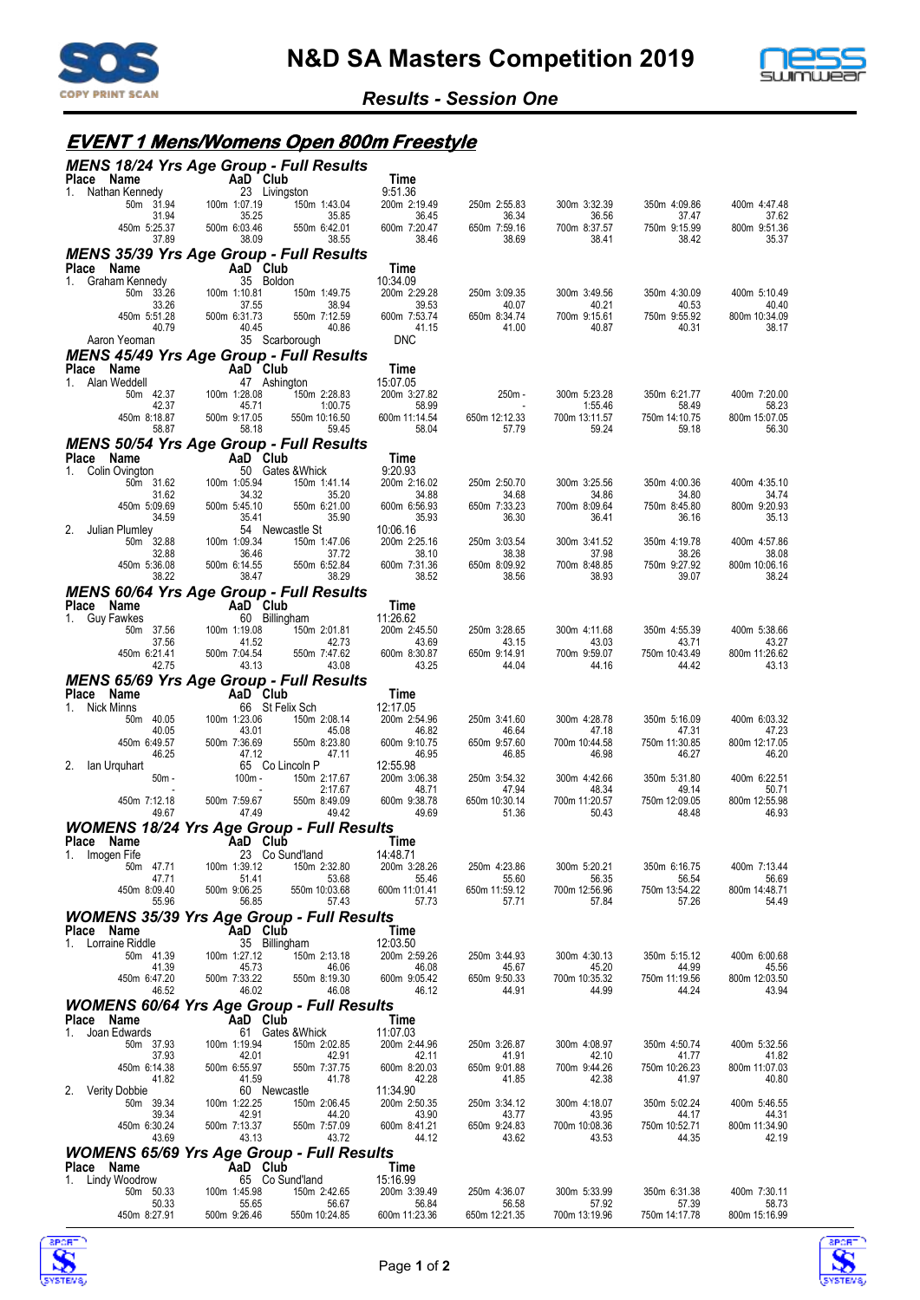



#### *Results - Session One*

# **EVENT 1 Mens/Womens Open 800m Freestyle**

| MENS 18/24 Yrs Age Group - Full Results<br>Place Name          |                                                  | Time                                                    |                         |                          |                        |                                 |
|----------------------------------------------------------------|--------------------------------------------------|---------------------------------------------------------|-------------------------|--------------------------|------------------------|---------------------------------|
| 1. Nathan Kennedy                                              | dy <b>AaD</b> Club<br>23 Living<br>23 Livingston | 9:51.36                                                 |                         |                          |                        |                                 |
| 50m 31.94<br>31.94                                             | 100m 1:07.19<br>35.25                            | 150m 1:43.04<br>200m 2:19.49<br>35.85<br>36.45          | 250m 2:55.83<br>36.34   | 300m 3:32.39<br>36.56    | 350m 4:09.86<br>37.47  | 400m 4:47.48<br>37.62           |
| 450m 5:25.37<br>37.89                                          | 500m 6:03.46<br>38.09                            | 550m 6:42.01<br>600m 7:20.47<br>38.46<br>38.55          | 650m 7:59.16<br>38.69   | 700m 8:37.57<br>38.41    | 750m 9:15.99<br>38.42  | 800m 9:51.36<br>35.37           |
| <b>MENS 35/39 Yrs Age Group - Full Results</b>                 |                                                  |                                                         |                         |                          |                        |                                 |
| Place Name<br>1.<br>Graham Kennedy                             | AaD Club<br>35 Boldon                            | Time<br>10:34.09                                        |                         |                          |                        |                                 |
| 50m 33.26                                                      | 100m 1:10.81                                     | 150m 1:49.75<br>200m 2:29.28                            | 250m 3:09.35            | 300m 3:49.56             | 350m 4:30.09           | 400m 5:10.49                    |
| 33.26<br>450m 5:51.28                                          | 37.55<br>500m 6:31.73<br>40.45                   | 38.94<br>39.53<br>550m 7:12.59<br>600m 7:53.74<br>41.15 | 40.07<br>650m 8:34.74   | 40.21<br>700m 9:15.61    | 40.53<br>750m 9:55.92  | 40.40<br>800m 10:34.09<br>38.17 |
| 40.79<br>Aaron Yeoman                                          | 35 Scarborough                                   | 40.86<br><b>DNC</b>                                     | 41.00                   | 40.87                    | 40.31                  |                                 |
| <b>MENS 45/49 Yrs Age Group - Full Results</b>                 |                                                  |                                                         |                         |                          |                        |                                 |
| Place Name<br>1.<br>Alan Weddell                               | AaD Club<br>47 Ashington                         | Time<br>15:07.05                                        |                         |                          |                        |                                 |
| 50m 42.37                                                      | 100m 1:28.08                                     | 150m 2:28.83<br>200m 3:27.82                            | 250m -                  | 300m 5:23.28             | 350m 6:21.77           | 400m 7:20.00                    |
| 42.37<br>450m 8:18.87                                          | 45.71<br>500m 9:17.05                            | 1:00.75<br>58.99<br>550m 10:16.50<br>600m 11:14.54      | $\sim$<br>650m 12:12.33 | 1:55.46<br>700m 13:11.57 | 58.49<br>750m 14:10.75 | 58.23<br>800m 15:07.05          |
| 58.87<br>MENS 50/54 Yrs Age Group - Full Results               | 58.18                                            | 59.45<br>58.04                                          | 57.79                   | 59.24                    | 59.18                  | 56.30                           |
| Place Name                                                     | $AaD^{\dagger}Club$                              | Time                                                    |                         |                          |                        |                                 |
| 1. Colin Ovington<br>50m 31.62                                 | 50 Gates & Whick<br>100m 1:05.94                 | 9:20.93<br>150m 1:41.14<br>200m 2:16.02                 | 250m 2:50.70            | 300m 3:25.56             | 350m 4:00.36           | 400m 4:35.10                    |
| 31.62                                                          | 34.32                                            | 35.20<br>34.88                                          | 34.68                   | 34.86                    | 34.80                  | 34.74                           |
| 450m 5:09.69<br>34.59                                          | 500m 5:45.10<br>35.41                            | 550m 6:21.00<br>600m 6:56.93<br>35.93<br>35.90          | 650m 7:33.23<br>36.30   | 700m 8:09.64<br>36.41    | 750m 8:45.80<br>36.16  | 800m 9:20.93<br>35.13           |
| 2.<br>Julian Plumley                                           | 54 Newcastle St<br>100m 1:09.34                  | 10:06.16                                                |                         |                          | 350m 4:19.78           |                                 |
| 50m 32.88<br>32.88                                             | 36.46                                            | 150m 1:47.06<br>200m 2:25.16<br>37.72<br>38.10          | 250m 3:03.54<br>38.38   | 300m 3:41.52<br>37.98    | 38.26                  | 400m 4:57.86<br>38.08           |
| 450m 5:36.08<br>38.22                                          | 500m 6:14.55<br>38.47                            | 550m 6:52.84<br>600m 7:31.36<br>38.52<br>38.29          | 650m 8:09.92<br>38.56   | 700m 8:48.85<br>38.93    | 750m 9:27.92<br>39.07  | 800m 10:06.16<br>38.24          |
| <b>MENS 60/64 Yrs Age Group - Full Results</b>                 |                                                  |                                                         |                         |                          |                        |                                 |
| Place Name<br>1. Guy Fawkes                                    | $AaD$ Club<br>60 Billingham                      | Time<br>11:26.62                                        |                         |                          |                        |                                 |
| 50m 37.56                                                      | 100m 1:19.08                                     | 150m 2:01.81<br>200m 2:45.50                            | 250m 3:28.65            | 300m 4:11.68             | 350m 4:55.39           | 400m 5:38.66                    |
| 37.56<br>450m 6:21.41                                          | 41.52<br>500m 7:04.54                            | 42.73<br>43.69<br>550m 7:47.62<br>600m 8:30.87          | 43.15<br>650m 9:14.91   | 43.03<br>700m 9:59.07    | 43.71<br>750m 10:43.49 | 43.27<br>800m 11:26.62          |
| 42.75                                                          | 43.13                                            | 43.25<br>43.08                                          | 44.04                   | 44.16                    | 44.42                  | 43.13                           |
| MENS 65/69 Yrs Age Group - Full Results<br>Place Name          | AaD Club                                         | Time                                                    |                         |                          |                        |                                 |
| Nick Minns<br>$1_{-}$                                          | 66 St Felix Sch                                  | 12:17.05                                                |                         |                          |                        |                                 |
| 50m 40.05<br>40.05                                             | 100m 1:23.06<br>43.01                            | 150m 2:08.14<br>200m 2:54.96<br>45.08<br>46.82          | 250m 3:41.60<br>46.64   | 300m 4:28.78<br>47.18    | 350m 5:16.09<br>47.31  | 400m 6:03.32<br>47.23           |
| 450m 6:49.57<br>46.25                                          | 500m 7:36.69<br>47.12                            | 550m 8:23.80<br>600m 9:10.75<br>46.95<br>47.11          | 650m 9:57.60<br>46.85   | 700m 10:44.58<br>46.98   | 750m 11:30.85<br>46.27 | 800m 12:17.05<br>46.20          |
| 2.<br>lan Urquhart<br>$50m -$                                  | 65 Co Lincoln P<br>100m -                        | 12:55.98<br>200m 3:06.38<br>150m 2:17.67                | 250m 3:54.32            | 300m 4:42.66             | 350m 5:31.80           | 400m 6:22.51                    |
|                                                                |                                                  | 2:17.67<br>48.71                                        | 47.94                   | 48.34                    | 49.14                  | 50.71                           |
| 450m 7:12.18<br>49.67                                          | 500m 7:59.67<br>47.49                            | 600m 9:38.78<br>550m 8:49.09<br>49.69<br>49.42          | 650m 10:30.14<br>51.36  | 700m 11:20.57<br>50.43   | 750m 12:09.05<br>48.48 | 800m 12:55.98<br>46.93          |
| <b>WOMENS 18/24 Yrs Age Group - Full Results</b>               |                                                  |                                                         |                         |                          |                        |                                 |
| Place Name<br>Imogen Fife                                      | AaD Club<br>23 Co Sund'land                      | Time<br>14:48.71                                        |                         |                          |                        |                                 |
| 50m 47.71<br>47.71                                             | 100m 1:39.12<br>51.41                            | 150m 2:32.80<br>200m 3:28.26<br>53.68<br>55.46          | 250m 4:23.86<br>55.60   | 300m 5:20.21<br>56.35    | 350m 6:16.75<br>56.54  | 400m 7:13.44<br>56.69           |
| 450m 8:09.40                                                   | 500m 9:06.25                                     | 550m 10:03.68<br>600m 11:01.41                          | 650m 11:59.12           | 700m 12:56.96            | 750m 13:54.22          | 800m 14:48.71                   |
| 55.96<br><b>WOMENS 35/39 Yrs Age Group - Full Results</b>      | 56.85                                            | 57.43<br>57.73                                          | 57.71                   | 57.84                    | 57.26                  | 54.49                           |
| Place Name                                                     | AaD Club                                         | Time                                                    |                         |                          |                        |                                 |
| 1. Lorraine Riddle<br>50m 41.39                                | 35 Billingham<br>100m 1:27.12                    | 12:03.50<br>150m 2:13.18<br>200m 2:59.26                | 250m 3:44.93            | 300m 4:30.13             | 350m 5:15.12           | 400m 6:00.68                    |
| 41.39                                                          | 45.73                                            | 46.08<br>46.06                                          | 45.67                   | 45.20                    | 44.99                  | 45.56                           |
| 450m 6:47.20<br>46.52                                          | 500m 7:33.22<br>46.02                            | 550m 8:19.30<br>600m 9:05.42<br>46.08<br>46.12          | 650m 9:50.33<br>44.91   | 700m 10:35.32<br>44.99   | 750m 11:19.56<br>44.24 | 800m 12:03.50<br>43.94          |
| <b>WOMENS 60/64 Yrs Age Group - Full Results</b>               |                                                  |                                                         |                         |                          |                        |                                 |
| Place Name<br>Joan Edwards<br>$1_{-}$                          | AaD Club<br>61 Gates & Whick                     | Time<br>11:07.03                                        |                         |                          |                        |                                 |
| 50m 37.93                                                      | 100m 1:19.94                                     | 200m 2:44.96<br>150m 2:02.85                            | 250m 3:26.87            | 300m 4:08.97             | 350m 4:50.74           | 400m 5:32.56                    |
| 37.93<br>450m 6:14.38                                          | 42.01<br>500m 6:55.97                            | 42.91<br>42.11<br>550m 7:37.75<br>600m 8:20.03          | 41.91<br>650m 9:01.88   | 42.10<br>700m 9:44.26    | 41.77<br>750m 10:26.23 | 41.82<br>800m 11:07.03          |
| 41.82<br>Verity Dobbie<br>2.                                   | 41.59<br>60 Newcastle                            | 41.78<br>42.28<br>11:34.90                              | 41.85                   | 42.38                    | 41.97                  | 40.80                           |
| 50m 39.34                                                      | 100m 1:22.25                                     | 200m 2:50.35<br>150m 2:06.45                            | 250m 3:34.12            | 300m 4:18.07             | 350m 5:02.24           | 400m 5:46.55                    |
| 39.34<br>450m 6:30.24                                          | 42.91<br>500m 7:13.37                            | 44.20<br>43.90<br>550m 7:57.09<br>600m 8:41.21          | 43.77<br>650m 9:24.83   | 43.95<br>700m 10:08.36   | 44.17<br>750m 10:52.71 | 44.31<br>800m 11:34.90          |
| 43.69                                                          | 43.13                                            | 43.72<br>44.12                                          | 43.62                   | 43.53                    | 44.35                  | 42.19                           |
| <b>WOMENS 65/69 Yrs Age Group - Full Results</b><br>Place Name | AaD Club                                         | Time                                                    |                         |                          |                        |                                 |
| Lindy Woodrow<br>1.                                            | 65 Co Sund'land                                  | 15:16.99                                                |                         |                          |                        |                                 |
| 50m 50.33<br>50.33                                             | 100m 1:45.98<br>55.65                            | 200m 3:39.49<br>150m 2:42.65<br>56.67<br>56.84          | 250m 4:36.07<br>56.58   | 300m 5:33.99<br>57.92    | 350m 6:31.38<br>57.39  | 400m 7:30.11<br>58.73           |
| 450m 8:27.91                                                   | 500m 9:26.46                                     | 550m 10:24.85<br>600m 11:23.36                          | 650m 12:21.35           | 700m 13:19.96            | 750m 14:17.78          | 800m 15:16.99                   |



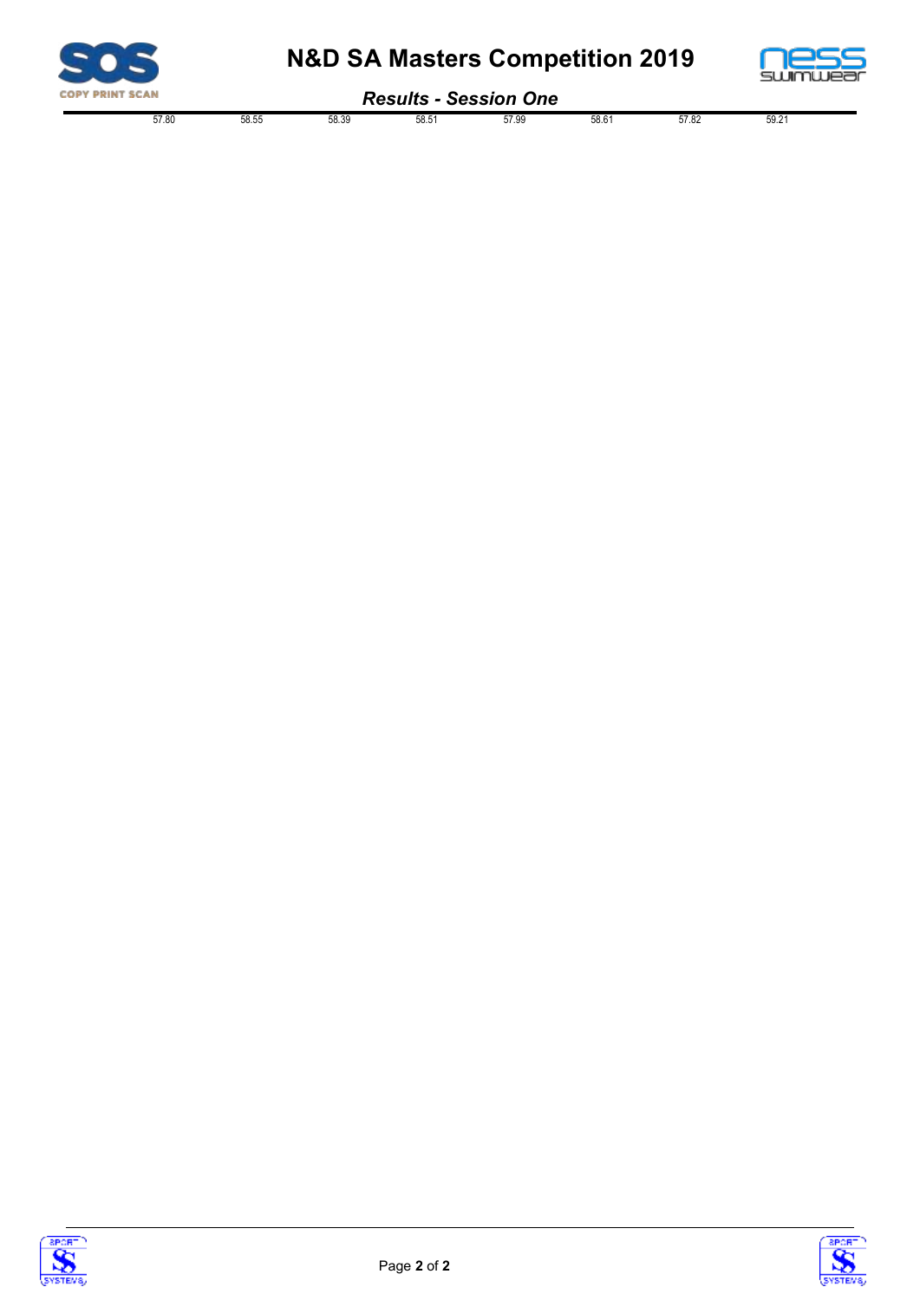

# **N&D SA Masters Competition 2019**



#### *Results - Session One*

| .<br>- <del>- - - - - - - - - - - -</del> |         |       |       |      |       |       |       |      |  |  |
|-------------------------------------------|---------|-------|-------|------|-------|-------|-------|------|--|--|
|                                           | $- - -$ | EO EI | 30.00 | ro r | uu.   | rn.   | 57.00 | nu   |  |  |
|                                           | 57.80   | 58.5P | 58.39 | ບບ.ບ | ບ≀.ວະ | 00. O | 31.OZ | JJ.Z |  |  |
|                                           | .       | JU.JJ | .     | .    | .     | .     |       |      |  |  |



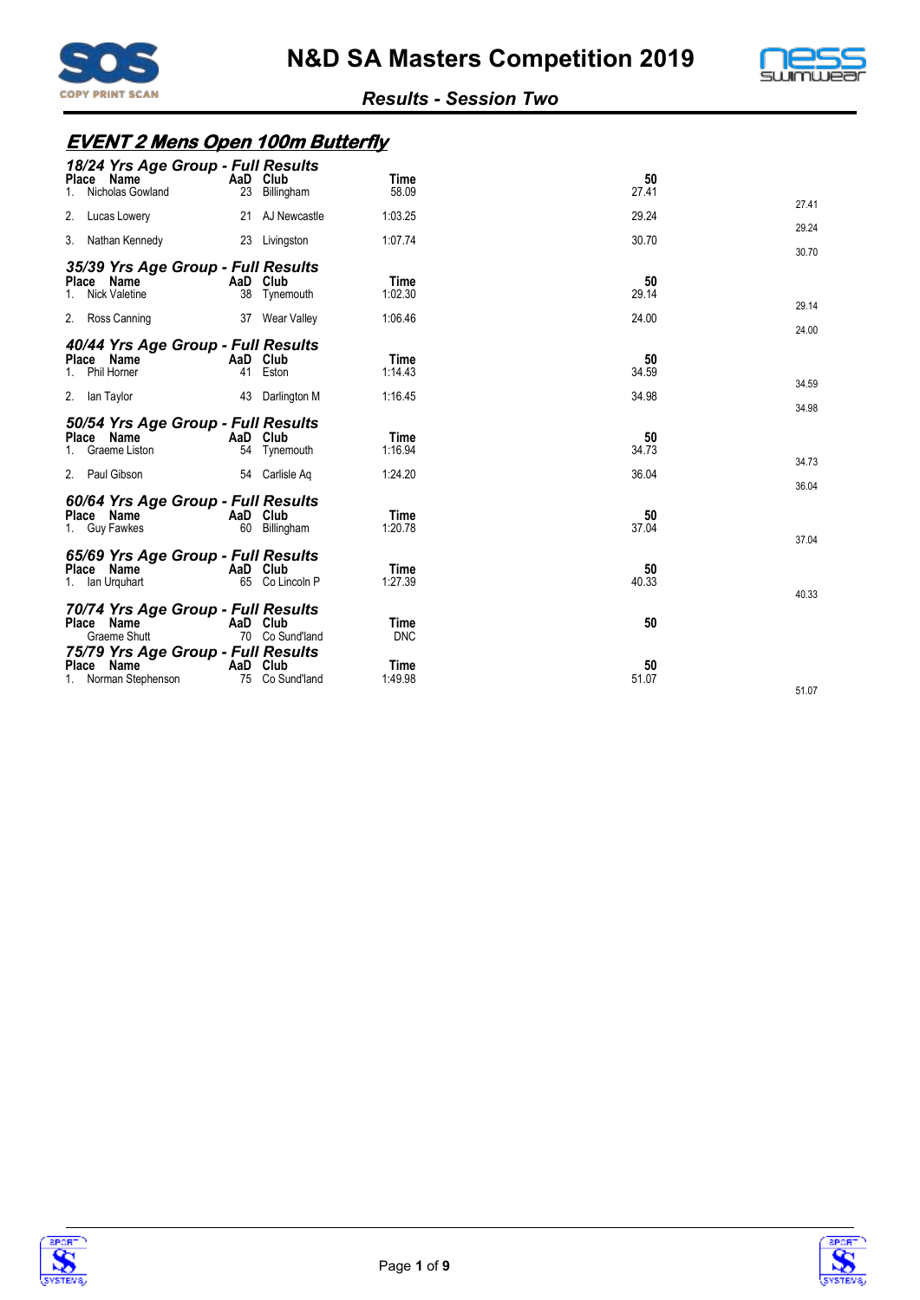



#### **EVENT 2 Mens Open 100m Butterfly**

| 18/24 Yrs Age Group - Full Results<br>Place Name<br>Nicholas Gowland<br>1.          | AaD Club<br>23 | Billingham               | Time<br>58.09                     | 50<br>27.41          | 27.41 |
|-------------------------------------------------------------------------------------|----------------|--------------------------|-----------------------------------|----------------------|-------|
| 2.<br>Lucas Lowery                                                                  |                | 21 AJ Newcastle          | 1:03.25                           | 29.24                | 29.24 |
| 3. Nathan Kennedy                                                                   |                | 23 Livingston            | 1:07.74                           | 30.70                | 30.70 |
| 35/39 Yrs Age Group - Full Results<br>Place Name<br><b>Nick Valetine</b><br>$1_{-}$ | AaD Club       | 38 Tynemouth             | Time<br>1:02.30                   | 50<br>29.14          | 29.14 |
| 2. Ross Canning                                                                     |                | 37 Wear Valley           | 1:06.46                           | 24.00                | 24.00 |
| 40/44 Yrs Age Group - Full Results<br>Place Name<br>Phil Horner<br>2. Ian Taylor    | AaD Club<br>41 | Eston<br>43 Darlington M | <b>Time</b><br>1:14.43<br>1:16.45 | 50<br>34.59<br>34.98 | 34.59 |
|                                                                                     |                |                          |                                   |                      | 34.98 |
| 50/54 Yrs Age Group - Full Results<br>Place Name<br>Graeme Liston<br>1.             | AaD Club       | 54 Tynemouth             | <b>Time</b><br>1:16.94            | 50<br>34.73          | 34.73 |
| 2. Paul Gibson                                                                      |                | 54 Carlisle Ag           | 1:24.20                           | 36.04                | 36.04 |
| 60/64 Yrs Age Group - Full Results<br>Place Name<br>1. Guy Fawkes                   | AaD Club       | 60 Billingham            | Time<br>1:20.78                   | 50<br>37.04          | 37.04 |
| 65/69 Yrs Age Group - Full Results<br>Place Name<br>1. Ian Urguhart                 | AaD Club       | 65 Co Lincoln P          | Time<br>1:27.39                   | 50<br>40.33          | 40.33 |
| 70/74 Yrs Age Group - Full Results<br>Place Name<br>Graeme Shutt                    | AaD Club       | 70 Co Sund'land          | <b>Time</b><br><b>DNC</b>         | 50                   |       |
| 75/79 Yrs Age Group - Full Results<br>Place Name<br>1. Norman Stephenson            | AaD Club<br>75 | Co Sund'land             | Time<br>1:49.98                   | 50<br>51.07          | 51.07 |



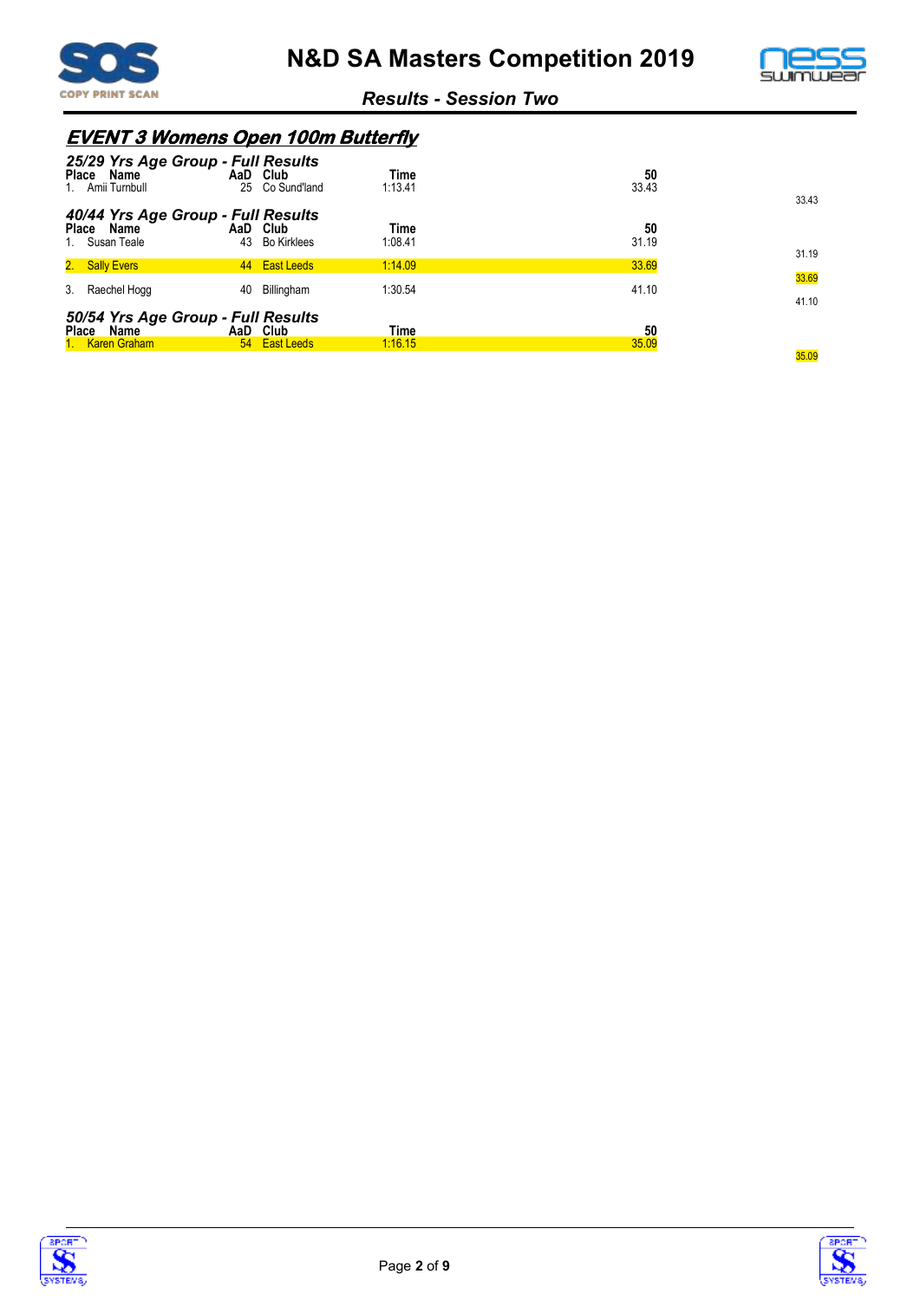



# **EVENT 3 Womens Open 100m Butterfly**

| 25/29 Yrs Age Group - Full Results<br>Place Name<br>Amii Turnbull      | 25 | AaD Club<br>Co Sund'land       | Time<br>1:13.41 | 50<br>33.43 | 33.43          |
|------------------------------------------------------------------------|----|--------------------------------|-----------------|-------------|----------------|
| 40/44 Yrs Age Group - Full Results<br>Place Name<br>Susan Teale        | 43 | AaD Club<br><b>Bo Kirklees</b> | Time<br>1:08.41 | 50<br>31.19 | 31.19          |
| 2. Sally Evers                                                         |    | 44 East Leeds                  | 1:14.09         | 33.69       |                |
| 3.<br>Raechel Hogg                                                     | 40 | Billingham                     | 1:30.54         | 41.10       | 33.69<br>41.10 |
| 50/54 Yrs Age Group - Full Results<br>Name<br>Place<br>1. Karen Graham |    | AaD Club<br>54 East Leeds      | Time<br>1:16.15 | 50<br>35.09 |                |
|                                                                        |    |                                |                 |             | 35.09          |



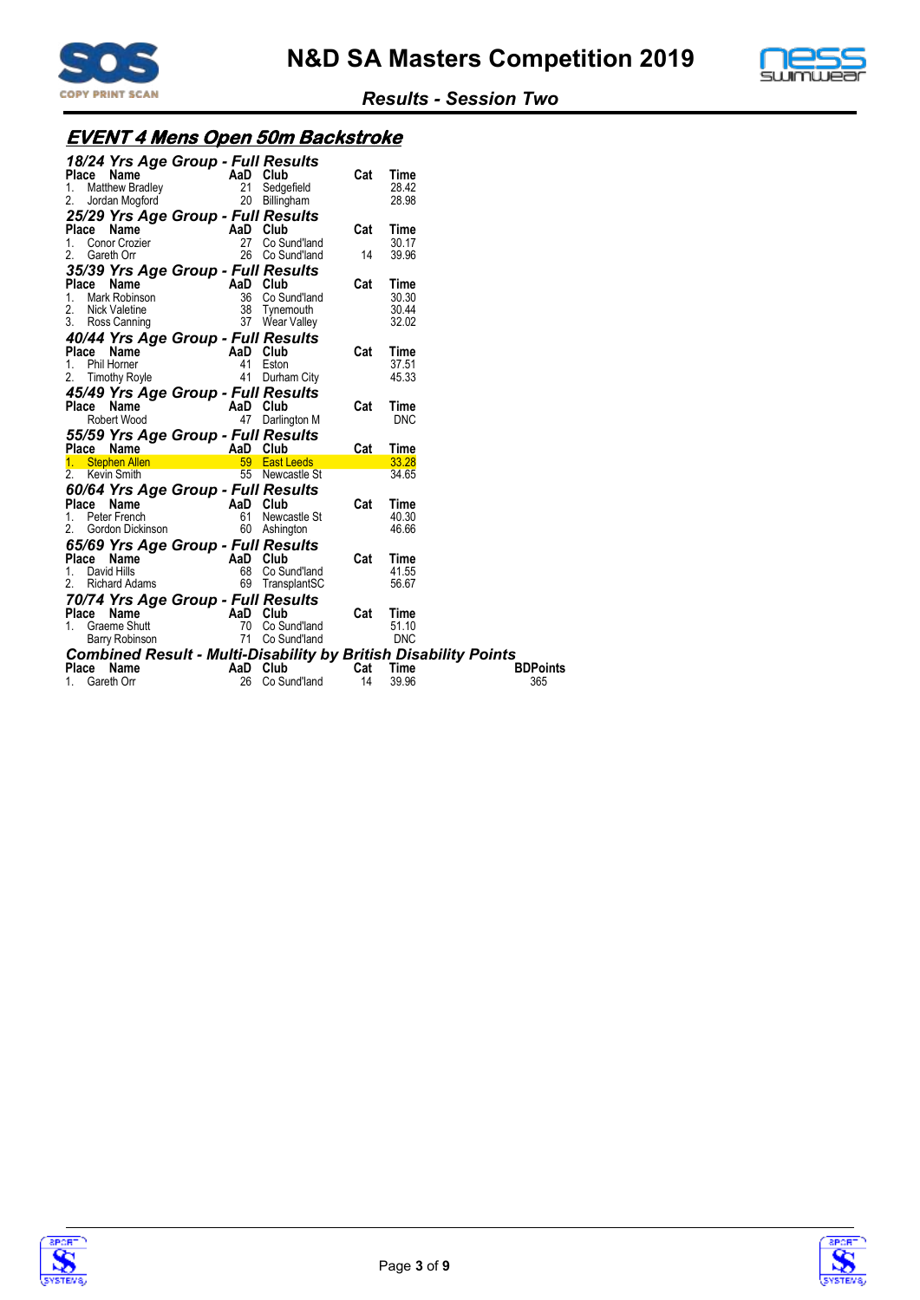



# **EVENT 4 Mens Open 50m Backstroke**

| <b>Place</b><br>1.<br>2. | 18/24 Yrs Age Group - Full Results<br><b>Name</b><br>ce Name<br>Matthew Bradley<br>Jordan Mogford | AaD Club       | 21 Sedgefield<br>20 Billingham                                                              | Cat | Time<br>28.42<br>28.98 |                                                                        |
|--------------------------|---------------------------------------------------------------------------------------------------|----------------|---------------------------------------------------------------------------------------------|-----|------------------------|------------------------------------------------------------------------|
|                          | 25/29 Yrs Age Group - Full Results<br><b>Place Name</b><br>1. Conor Crozier                       | AaD Club<br>27 | Co Sund'land                                                                                | Cat | Time<br>30.17          |                                                                        |
| 2.                       | Gareth Orr                                                                                        |                | 26 Co Sund'land                                                                             | 14  | 39.96                  |                                                                        |
|                          | 35/39 Yrs Age Group - Full Results                                                                |                |                                                                                             |     |                        |                                                                        |
| Place Name               |                                                                                                   |                | AaD Club<br>36 Co Sund'land<br>38 Tynemouth<br>37 Wear Valley                               | Cat | Time                   |                                                                        |
| 1.                       | Mark Robinson                                                                                     |                |                                                                                             |     | 30.30                  |                                                                        |
| 2.                       | Nick Valetine                                                                                     |                |                                                                                             |     | 30.44                  |                                                                        |
|                          | 3. Ross Canning                                                                                   |                | 37 Wear Valley                                                                              |     | 32.02                  |                                                                        |
|                          | 40/44 Yrs Age Group - Full Results                                                                |                |                                                                                             |     |                        |                                                                        |
|                          | Place Name                                                                                        | AaD Club       |                                                                                             | Cat | Time                   |                                                                        |
| 1. Phil Horner           |                                                                                                   | 41             | Eston                                                                                       |     | 37.51                  |                                                                        |
| 2.                       | Timothy Royle                                                                                     | 41             | Durham City                                                                                 |     | 45.33                  |                                                                        |
|                          | 45/49 Yrs Age Group - Full Results                                                                |                |                                                                                             |     |                        |                                                                        |
|                          | <b>Place Name</b><br>Robert Wood                                                                  | AaD Club       |                                                                                             | Cat | Time                   |                                                                        |
|                          |                                                                                                   | 47             | Darlington M                                                                                |     | <b>DNC</b>             |                                                                        |
|                          | 55/59 Yrs Age Group - Full Results                                                                |                |                                                                                             |     |                        |                                                                        |
|                          | Place Name <b>Allen Manuel Place Name 1</b> AaD Club<br>1. Stephen Allen 1999 East L              |                |                                                                                             | Cat | Time                   |                                                                        |
|                          |                                                                                                   |                | 59 East Leeds                                                                               |     | 33.28                  |                                                                        |
| 2. Kevin Smith           |                                                                                                   |                | 55 Newcastle St                                                                             |     | 34.65                  |                                                                        |
|                          | 60/64 Yrs Age Group - Full Results                                                                |                |                                                                                             |     |                        |                                                                        |
|                          | Place Name AaD Club                                                                               |                |                                                                                             | Cat | Time                   |                                                                        |
|                          | 1. Peter French                                                                                   |                | 61 Newcastle St                                                                             |     | 40.30                  |                                                                        |
| 2.                       | Gordon Dickinson                                                                                  |                | 60 Ashington                                                                                |     | 46.66                  |                                                                        |
|                          |                                                                                                   |                | 65/69 Yrs Age Group - Full Results                                                          |     |                        |                                                                        |
|                          | <b>Place Name</b><br>1. David Hills                                                               | AaD Club       |                                                                                             | Cat | Time                   |                                                                        |
|                          |                                                                                                   | 68             | Co Sund'land                                                                                |     | 41.55                  |                                                                        |
|                          | Richard Adams                                                                                     |                | 69 TransplantSC                                                                             |     | 56.67                  |                                                                        |
|                          |                                                                                                   |                | 70/74 Yrs Age Group - Full Results                                                          |     |                        |                                                                        |
| Place                    | Name                                                                                              | AaD Club       |                                                                                             | Cat | Time                   |                                                                        |
| 1.                       | Graeme Shutt                                                                                      |                |                                                                                             |     | 51.10                  |                                                                        |
|                          | Barry Robinson                                                                                    |                | $\begin{array}{ccc} 70 & \cup & \cup & \dots \\ 71 & \text{Co Sund'} \\ \hline \end{array}$ |     | <b>DNC</b>             |                                                                        |
|                          |                                                                                                   |                |                                                                                             |     |                        | <b>Combined Result - Multi-Disability by British Disability Points</b> |
| Place Name               |                                                                                                   | AaD Club       |                                                                                             | Cat | Time                   | <b>BDPoints</b>                                                        |
|                          | Gareth Orr                                                                                        |                | 26 Co Sund'land                                                                             | 14  | 39.96                  | 365                                                                    |



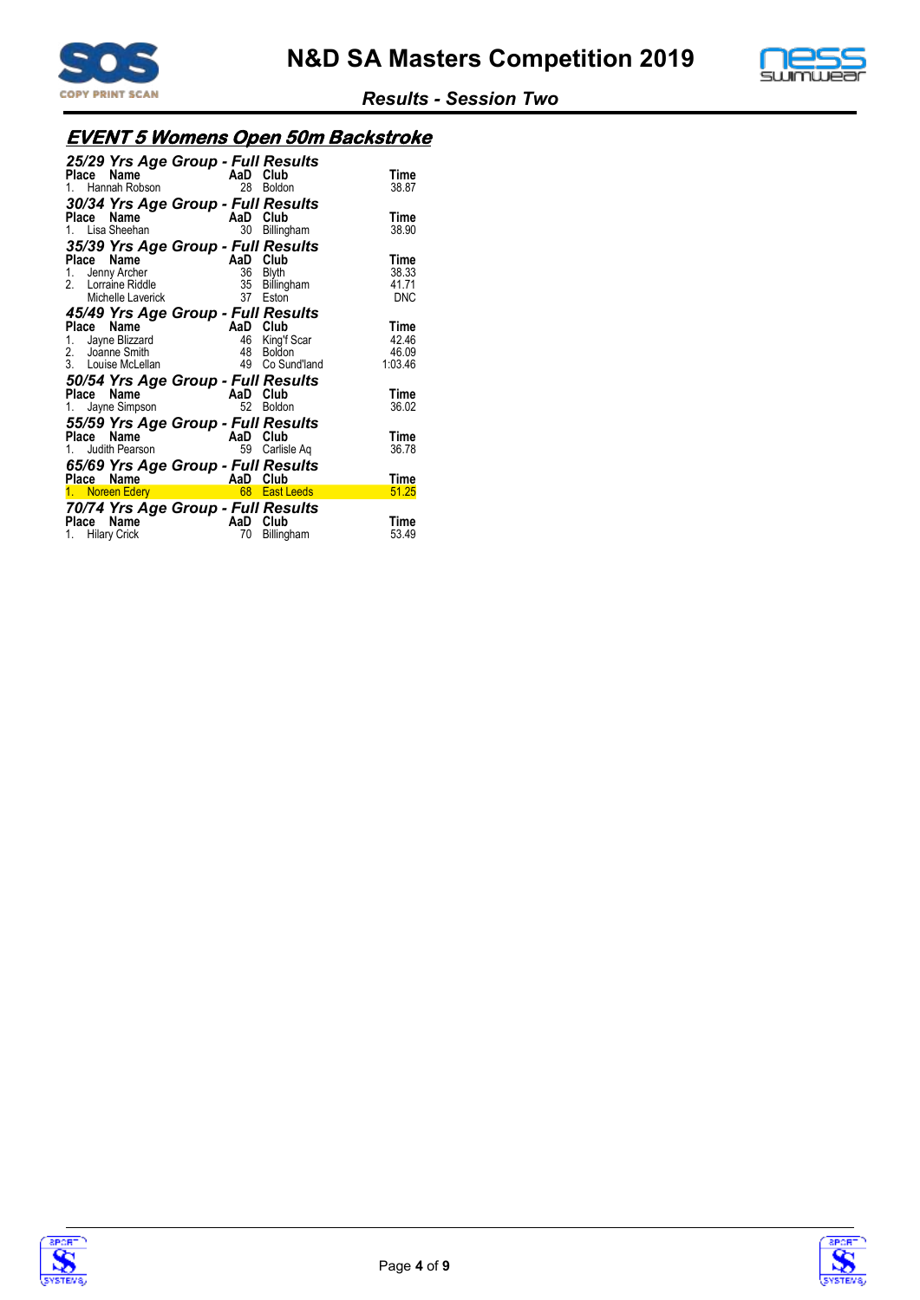



# **EVENT 5 Womens Open 50m Backstroke**

| 25/29 Yrs Age Group - Full Results<br>Name<br>Place<br>1. Hannah Robson<br>30/34 Yrs Age Group - Full Results | AaD<br>28 | Club<br><b>Boldon</b>         | Time<br>38.87       |
|---------------------------------------------------------------------------------------------------------------|-----------|-------------------------------|---------------------|
| Name<br>Place<br>1. Lisa Sheehan                                                                              | AaD<br>30 | Club<br>Billingham            | Time<br>38.90       |
| 35/39 Yrs Age Group - Full Results<br>Name<br>Place                                                           | AaD       | Club                          | Time                |
| Jenny Archer<br>1.                                                                                            | 36        | <b>Blyth</b>                  | 38.33               |
| Lorraine Riddle<br>2<br>Michelle Laverick                                                                     | 35<br>37  | Billingham<br>Eston           | 41.71<br><b>DNC</b> |
| 45/49 Yrs Age Group - Full Results                                                                            |           |                               |                     |
| Name<br>Place                                                                                                 | AaD       | Club                          | Time                |
| 1. Jayne Blizzard                                                                                             | 46        | King'f Scar                   | 42.46               |
| 2. Joanne Smith<br>3. Louise McLellan                                                                         | 48<br>49  | <b>Boldon</b><br>Co Sund'land | 46.09<br>1:03.46    |
| 50/54 Yrs Age Group - Full Results                                                                            |           |                               |                     |
| Name<br>Place                                                                                                 | AaD       | Club                          | Time                |
| Jayne Simpson<br>1.                                                                                           | 52        | <b>Boldon</b>                 | 36.02               |
| 55/59 Yrs Age Group - Full Results                                                                            |           |                               |                     |
| Name<br>Place                                                                                                 | AaD       | Club                          | Time                |
| Judith Pearson                                                                                                | 59        | Carlisle Aq                   | 36.78               |
| 65/69 Yrs Age Group - Full Results                                                                            |           |                               |                     |
| Name<br>Place<br>1. Noreen Edery                                                                              | AaD       | Club<br>68 East Leeds         | Time<br>51.25       |
|                                                                                                               |           |                               |                     |
| 70/74 Yrs Age Group - Full Results<br>Name<br>Place<br>1. Hilary Crick                                        | AaD<br>70 | Club<br>Billingham            | Time<br>53.49       |



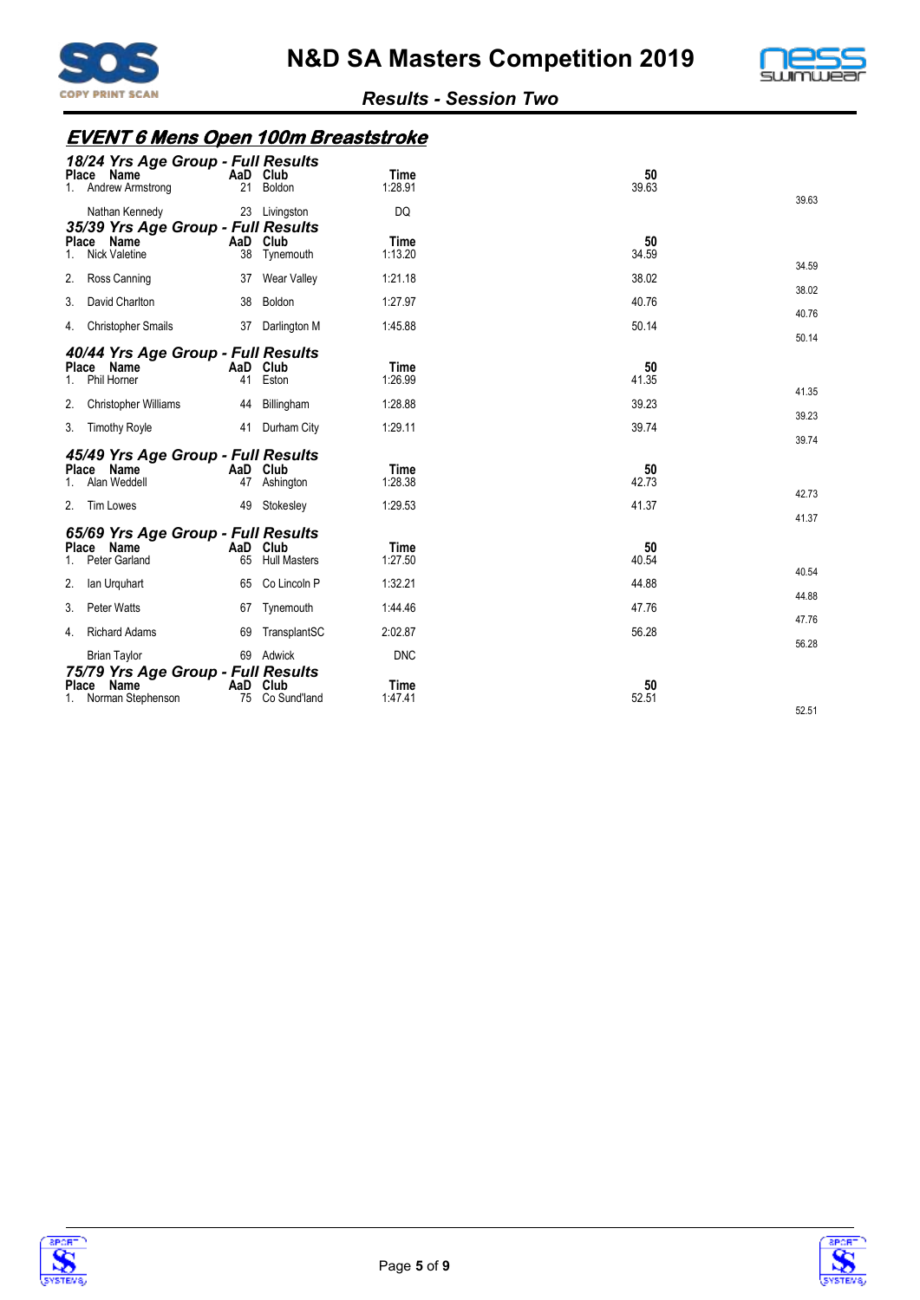



# **EVENT 6 Mens Open 100m Breaststroke**

| 18/24 Yrs Age Group - Full Results<br>Name<br>Place<br>Andrew Armstrong<br>1.     | AaD Club<br>21 | Boldon              | Time<br>1:28.91        | 50<br>39.63 |                |
|-----------------------------------------------------------------------------------|----------------|---------------------|------------------------|-------------|----------------|
| Nathan Kennedy<br>35/39 Yrs Age Group - Full Results                              |                | 23 Livingston       | DQ                     |             | 39.63          |
| Place Name<br><b>Nick Valetine</b>                                                | AaD Club<br>38 | Tynemouth           | Time<br>1:13.20        | 50<br>34.59 |                |
| 2.<br>Ross Canning                                                                | 37             | Wear Valley         | 1:21.18                | 38.02       | 34.59<br>38.02 |
| 3.<br>David Charlton                                                              | 38             | Boldon              | 1:27.97                | 40.76       | 40.76          |
| <b>Christopher Smails</b><br>4.                                                   |                | 37 Darlington M     | 1:45.88                | 50.14       | 50.14          |
| 40/44 Yrs Age Group - Full Results<br>Place Name<br>Phil Horner<br>1.             | AaD Club<br>41 | Eston               | <b>Time</b><br>1:26.99 | 50<br>41.35 | 41.35          |
| 2.<br>Christopher Williams                                                        | 44             | Billingham          | 1:28.88                | 39.23       | 39.23          |
| 3. Timothy Royle                                                                  | 41             | Durham City         | 1:29.11                | 39.74       | 39.74          |
| 45/49 Yrs Age Group - Full Results<br>Place Name<br>Alan Weddell                  | AaD Club<br>47 | Ashington           | <b>Time</b><br>1:28.38 | 50<br>42.73 | 42.73          |
| 2. Tim Lowes                                                                      | 49             | Stokesley           | 1:29.53                | 41.37       | 41.37          |
| 65/69 Yrs Age Group - Full Results<br>Place Name<br>$1 \quad$<br>Peter Garland    | AaD Club<br>65 | <b>Hull Masters</b> | <b>Time</b><br>1:27.50 | 50<br>40.54 |                |
| 2.<br>lan Urquhart                                                                | 65             | Co Lincoln P        | 1:32.21                | 44.88       | 40.54<br>44.88 |
| 3.<br><b>Peter Watts</b>                                                          | 67             | Tynemouth           | 1:44.46                | 47.76       | 47.76          |
| <b>Richard Adams</b><br>4.                                                        | 69             | TransplantSC        | 2:02.87                | 56.28       | 56.28          |
| <b>Brian Taylor</b><br>75/79 Yrs Age Group - Full Results<br>Name<br><b>Place</b> | AaD Club       | 69 Adwick           | <b>DNC</b><br>Time     | 50          |                |
| 1. Norman Stephenson                                                              | 75             | Co Sund'land        | 1:47.41                | 52.51       | 52.51          |



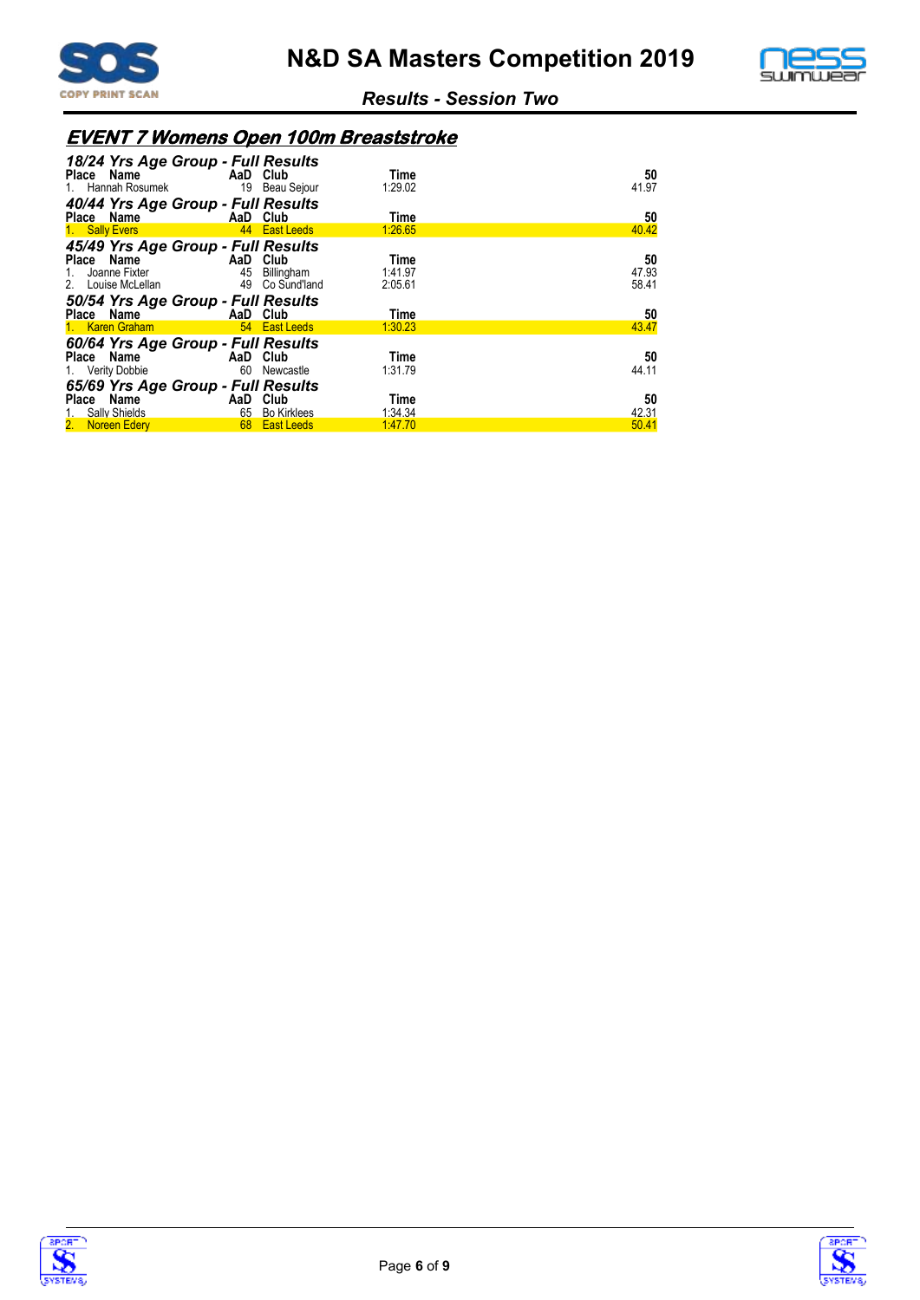



# **EVENT 7 Womens Open 100m Breaststroke**

| 18/24 Yrs Age Group - Full Results      |                            |                 |             |
|-----------------------------------------|----------------------------|-----------------|-------------|
| Place Name AaD Club                     |                            | Time            | 50          |
| 1. Hannah Rosumek 19 Beau Sejour        |                            | 1:29.02         | 41.97       |
| 40/44 Yrs Age Group - Full Results      |                            |                 |             |
| <b>Example 2</b> AaD Club<br>Place Name |                            | Time            | 50          |
| 1. Sally Evers                          | <b>East Leeds</b>          | 1:26.65         | 40.42       |
| 45/49 Yrs Age Group - Full Results      |                            |                 |             |
| <b>Example 2</b> AaD Club<br>Place Name |                            | Time            | 50          |
| 1. Joanne Fixter                        | 45 Billingham              | 1:41.97         | 47.93       |
| 2. Louise McLellan                      | 49 Co Sund'land            | 2:05.61         | 58.41       |
|                                         |                            |                 |             |
|                                         |                            |                 |             |
| 50/54 Yrs Age Group - Full Results      |                            | Time            |             |
| Place Name AaD Club<br>1. Karen Graham  | 54 East Leeds              | 1:30.23         | 50<br>43.47 |
|                                         |                            |                 |             |
| 60/64 Yrs Age Group - Full Results      |                            | Time            |             |
| Place Name AaD Club                     | 60 Newcastle               | 1:31.79         | 50<br>44.11 |
| 1. Verity Dobbie                        |                            |                 |             |
| 65/69 Yrs Age Group - Full Results      |                            |                 |             |
| Place Name<br>1. Sally Shields          | AaD Club<br>65 Bo Kirklees | Time<br>1:34.34 | 50<br>42.31 |



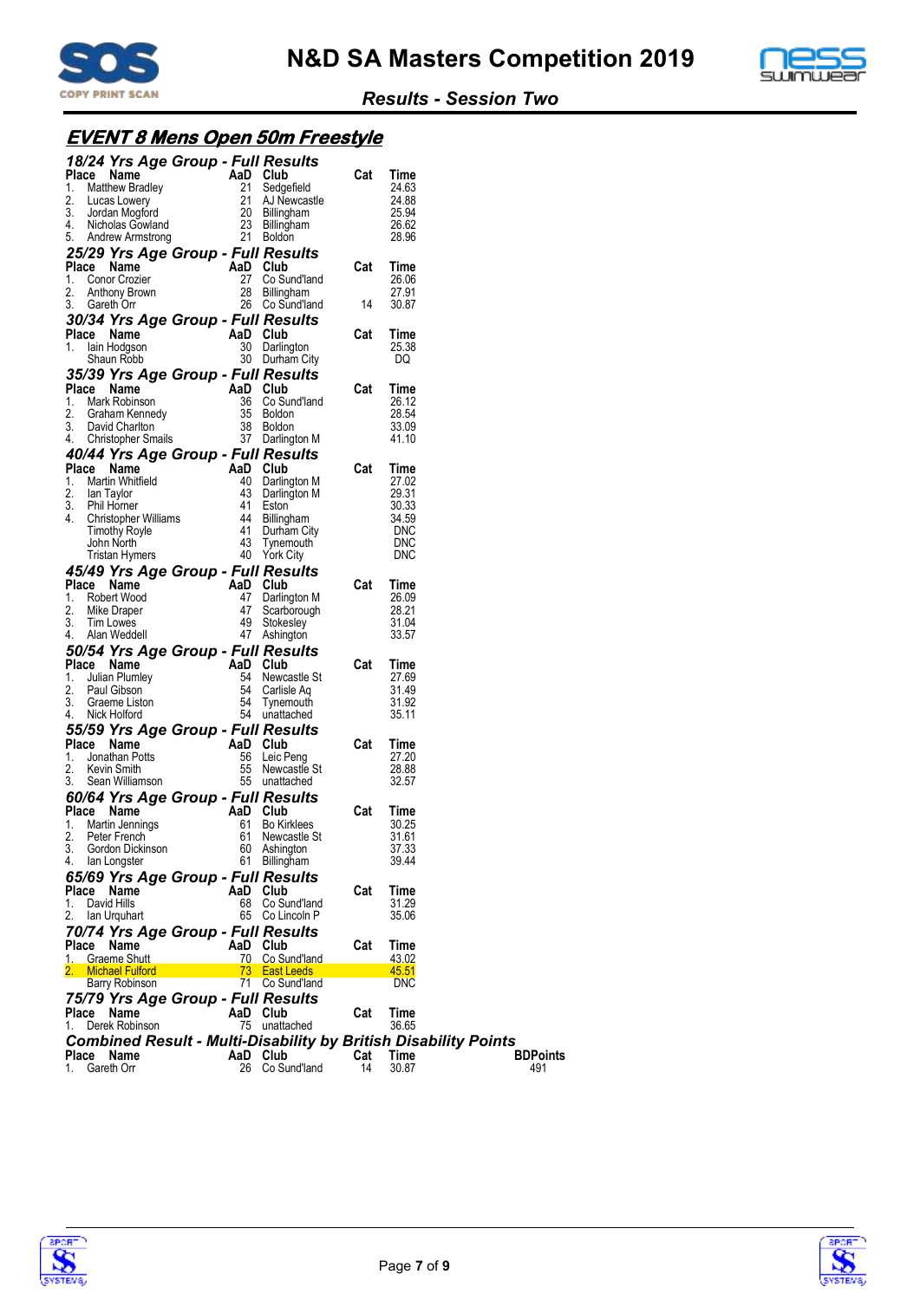



# **EVENT 8 Mens Open 50m Freestyle**

| 18/24 Yrs Age Group - Full Results                                                                                                                                                                                                                                   |          |                                                                                                                                                                                                                                    |                       |                |                 |  |
|----------------------------------------------------------------------------------------------------------------------------------------------------------------------------------------------------------------------------------------------------------------------|----------|------------------------------------------------------------------------------------------------------------------------------------------------------------------------------------------------------------------------------------|-----------------------|----------------|-----------------|--|
| Compared to the Matthew Bradley<br>Matthew Bradley<br>Lucas Lowery<br>121 Sedgefield<br>Lucas Lowery<br>121 AJ Newcastle<br>Jordan Mogford<br>23 Billingham<br>Andrew Armstrong<br>21 Roldon<br>Place Name                                                           |          |                                                                                                                                                                                                                                    | Cat                   | Time           |                 |  |
| 1.<br>2.                                                                                                                                                                                                                                                             |          |                                                                                                                                                                                                                                    |                       | 24.63<br>24.88 |                 |  |
| Lucas Lowery                                                                                                                                                                                                                                                         |          |                                                                                                                                                                                                                                    |                       | 25.94          |                 |  |
| 3. Jordan Mogford<br>4. Nicholas Gowland                                                                                                                                                                                                                             |          |                                                                                                                                                                                                                                    |                       | 26.62          |                 |  |
| 5. Andrew Armstrong                                                                                                                                                                                                                                                  |          | 21 Boldon                                                                                                                                                                                                                          |                       | 28.96          |                 |  |
| 25/29 Yrs Age Group - Full Results                                                                                                                                                                                                                                   |          |                                                                                                                                                                                                                                    |                       |                |                 |  |
| Place Name                                                                                                                                                                                                                                                           |          |                                                                                                                                                                                                                                    | Cat                   | Time           |                 |  |
| 1.<br>Conor Crozier                                                                                                                                                                                                                                                  |          |                                                                                                                                                                                                                                    |                       | 26.06          |                 |  |
| 2.<br>Anthony Brown                                                                                                                                                                                                                                                  |          |                                                                                                                                                                                                                                    |                       | 27.91          |                 |  |
| 3.<br>Gareth Orr                                                                                                                                                                                                                                                     |          | Exercise Club<br>27 Co Sund'land<br>28 Billingham<br>26 Co Sund'land<br>14                                                                                                                                                         |                       | 30.87          |                 |  |
| 30/34 Yrs Age Group - Full Results                                                                                                                                                                                                                                   |          |                                                                                                                                                                                                                                    |                       |                |                 |  |
| Place Name                                                                                                                                                                                                                                                           | AaD Club |                                                                                                                                                                                                                                    | Cat                   | Time           |                 |  |
| 1.<br>lain Hodgson                                                                                                                                                                                                                                                   |          | 30 Darlington                                                                                                                                                                                                                      |                       | 25.38          |                 |  |
| Shaun Robb                                                                                                                                                                                                                                                           |          | 30 Durham City                                                                                                                                                                                                                     |                       | DQ             |                 |  |
| 35/39 Yrs Age Group - Full Results                                                                                                                                                                                                                                   |          |                                                                                                                                                                                                                                    |                       |                |                 |  |
|                                                                                                                                                                                                                                                                      |          |                                                                                                                                                                                                                                    | Cat                   | Time           |                 |  |
|                                                                                                                                                                                                                                                                      |          | 36 Co Sund'land                                                                                                                                                                                                                    |                       | 26.12          |                 |  |
|                                                                                                                                                                                                                                                                      |          | 35 Boldon                                                                                                                                                                                                                          |                       | 28.54          |                 |  |
|                                                                                                                                                                                                                                                                      |          | 38 Boldon                                                                                                                                                                                                                          |                       | 33.09          |                 |  |
|                                                                                                                                                                                                                                                                      |          | 37 Darlington M                                                                                                                                                                                                                    |                       | 41.10          |                 |  |
| Mark Robinson<br>2. Graham Kennedy<br>2. Graham Kennedy<br>36 Co Sui<br>2. David Charlton<br>3. David Christopher Smalls<br>40/44 Yrs Acre Christopher Smalls<br>40/44 Yrs Acre Christopher Smalls<br>Place<br>40/44 Yrs Age Group - Full Results                    |          |                                                                                                                                                                                                                                    |                       |                |                 |  |
| Place Name<br><b>/44 Yrs Age Group - Funnylessence</b><br><b>Comment Constraint</b><br>Martin Whitfield<br>In Taylor and the Darlington M<br>Phil Homer and the Billingham<br>Christopher Williams and Hallingham<br>Timothy Royle and Durham City<br>John North and |          |                                                                                                                                                                                                                                    | Cat                   | Time           |                 |  |
| 1.                                                                                                                                                                                                                                                                   |          |                                                                                                                                                                                                                                    |                       | 27.02          |                 |  |
| 2. Ian Taylor                                                                                                                                                                                                                                                        |          |                                                                                                                                                                                                                                    | $\frac{29.31}{30.33}$ |                |                 |  |
| 3. Phil Horner                                                                                                                                                                                                                                                       |          |                                                                                                                                                                                                                                    |                       | 30.33          |                 |  |
| 4.                                                                                                                                                                                                                                                                   |          |                                                                                                                                                                                                                                    |                       | 34.59<br>DNC   |                 |  |
|                                                                                                                                                                                                                                                                      |          |                                                                                                                                                                                                                                    |                       | <b>DNC</b>     |                 |  |
| Tristan Hymers                                                                                                                                                                                                                                                       |          | 40 York City                                                                                                                                                                                                                       |                       | <b>DNC</b>     |                 |  |
| 45/49 Yrs Age Group - Full Results                                                                                                                                                                                                                                   |          |                                                                                                                                                                                                                                    |                       |                |                 |  |
| Place Name                                                                                                                                                                                                                                                           |          | <b>BUITS</b><br>And Club<br>47 Darlington M<br>49 Stri                                                                                                                                                                             | Cat                   | Time           |                 |  |
| 1. Robert Wood                                                                                                                                                                                                                                                       |          |                                                                                                                                                                                                                                    |                       | 26.09          |                 |  |
| 2.<br>Mike Draper                                                                                                                                                                                                                                                    |          |                                                                                                                                                                                                                                    |                       | 28.21          |                 |  |
| 3.<br>Tim Lowes                                                                                                                                                                                                                                                      |          |                                                                                                                                                                                                                                    |                       | 31.04          |                 |  |
| 4.<br>Alan Weddell                                                                                                                                                                                                                                                   |          | 47 Ashington                                                                                                                                                                                                                       |                       | 33.57          |                 |  |
| 50/54 Yrs Age Group - Full Results                                                                                                                                                                                                                                   |          | $\begin{array}{r} \text{array} \ \text{and} \ \text{Results} \ \text{AaD} \quad \text{Club} \ \text{54} \quad \text{News} \ \text{55} \ \text{Gariisle} \ \text{56} \quad \text{Types} \ \text{57} \quad \text{Types} \end{array}$ |                       |                |                 |  |
| Place Name                                                                                                                                                                                                                                                           |          |                                                                                                                                                                                                                                    | Cat                   | Time           |                 |  |
| Julian Plumley<br>Paul Gibeon<br>1.                                                                                                                                                                                                                                  |          | 54 Newcastle St                                                                                                                                                                                                                    |                       | 27.69          |                 |  |
| 2.<br>Paul Gibson                                                                                                                                                                                                                                                    |          |                                                                                                                                                                                                                                    |                       | 31.49          |                 |  |
| 3.<br>Graeme Liston                                                                                                                                                                                                                                                  |          |                                                                                                                                                                                                                                    |                       | 31.92          |                 |  |
| Nick Holford<br>4.                                                                                                                                                                                                                                                   |          | 54 unattached                                                                                                                                                                                                                      |                       | 35.11          |                 |  |
| 55/59 Yrs Age Group - Full Results                                                                                                                                                                                                                                   |          |                                                                                                                                                                                                                                    |                       |                |                 |  |
| Place Name                                                                                                                                                                                                                                                           | AaD Club |                                                                                                                                                                                                                                    | Cat                   | Time           |                 |  |
| 1.<br>Jonathan Potts                                                                                                                                                                                                                                                 |          | 56 Leic Peng                                                                                                                                                                                                                       |                       | 27.20          |                 |  |
| 2.<br>Kevin Smith                                                                                                                                                                                                                                                    |          | 55 Newcastle St                                                                                                                                                                                                                    |                       | 28.88          |                 |  |
| 3.<br>Sean Williamson                                                                                                                                                                                                                                                |          | 55 unattached                                                                                                                                                                                                                      |                       | 32.57          |                 |  |
| 60/64 Yrs Age Group - Full Results                                                                                                                                                                                                                                   |          |                                                                                                                                                                                                                                    |                       |                |                 |  |
| Place Name                                                                                                                                                                                                                                                           | AaD Club |                                                                                                                                                                                                                                    | Cat                   | Time           |                 |  |
| 1.<br>Martin Jennings                                                                                                                                                                                                                                                | 61       | <b>Bo Kirklees</b>                                                                                                                                                                                                                 |                       | 30.25          |                 |  |
| 2.<br>Peter French                                                                                                                                                                                                                                                   | 61       | Newcastle St                                                                                                                                                                                                                       |                       | 31.61          |                 |  |
| 3. Gordon Dickinson                                                                                                                                                                                                                                                  |          | 60 Ashington                                                                                                                                                                                                                       |                       | 37.33          |                 |  |
| 4. Ian Longster                                                                                                                                                                                                                                                      |          | 61 Billingham                                                                                                                                                                                                                      |                       | 39.44          |                 |  |
| 65/69 Yrs Age Group - Full Results                                                                                                                                                                                                                                   |          |                                                                                                                                                                                                                                    |                       |                |                 |  |
| Place Name                                                                                                                                                                                                                                                           | AaD      | Club                                                                                                                                                                                                                               | Cat                   | Time           |                 |  |
| David Hills<br>1.                                                                                                                                                                                                                                                    | 68       | Co Sund'land                                                                                                                                                                                                                       |                       | 31.29          |                 |  |
| 2.<br>lan Urquhart                                                                                                                                                                                                                                                   |          | 65 Co Lincoln P                                                                                                                                                                                                                    |                       | 35.06          |                 |  |
| 70/74 Yrs Age Group - Full Results                                                                                                                                                                                                                                   |          |                                                                                                                                                                                                                                    |                       |                |                 |  |
| Place<br>Name                                                                                                                                                                                                                                                        | AaD Club |                                                                                                                                                                                                                                    | Cat                   | Time           |                 |  |
| 1. Graeme Shutt                                                                                                                                                                                                                                                      |          | 70 Co Sund'land                                                                                                                                                                                                                    |                       | 43.02          |                 |  |
| 2. Michael Fulford                                                                                                                                                                                                                                                   |          | 73 East Leeds                                                                                                                                                                                                                      |                       | 45.51          |                 |  |
| Barry Robinson                                                                                                                                                                                                                                                       | 71       | Co Sund'land                                                                                                                                                                                                                       |                       | <b>DNC</b>     |                 |  |
| 75/79 Yrs Age Group - Full Results                                                                                                                                                                                                                                   |          |                                                                                                                                                                                                                                    |                       |                |                 |  |
| Place Name                                                                                                                                                                                                                                                           | AaD Club |                                                                                                                                                                                                                                    | Cat                   | Time           |                 |  |
| Derek Robinson<br>1.                                                                                                                                                                                                                                                 |          | 75 unattached                                                                                                                                                                                                                      |                       | 36.65          |                 |  |
| Combined Result - Multi-Disability by British Disability Points                                                                                                                                                                                                      |          |                                                                                                                                                                                                                                    |                       |                |                 |  |
| Name<br>Place                                                                                                                                                                                                                                                        | AaD Club |                                                                                                                                                                                                                                    | Cat                   | Time           | <b>BDPoints</b> |  |
| Gareth Orr<br>1.                                                                                                                                                                                                                                                     |          | 26 Co Sund'land                                                                                                                                                                                                                    | 14                    | 30.87          | 491             |  |
|                                                                                                                                                                                                                                                                      |          |                                                                                                                                                                                                                                    |                       |                |                 |  |



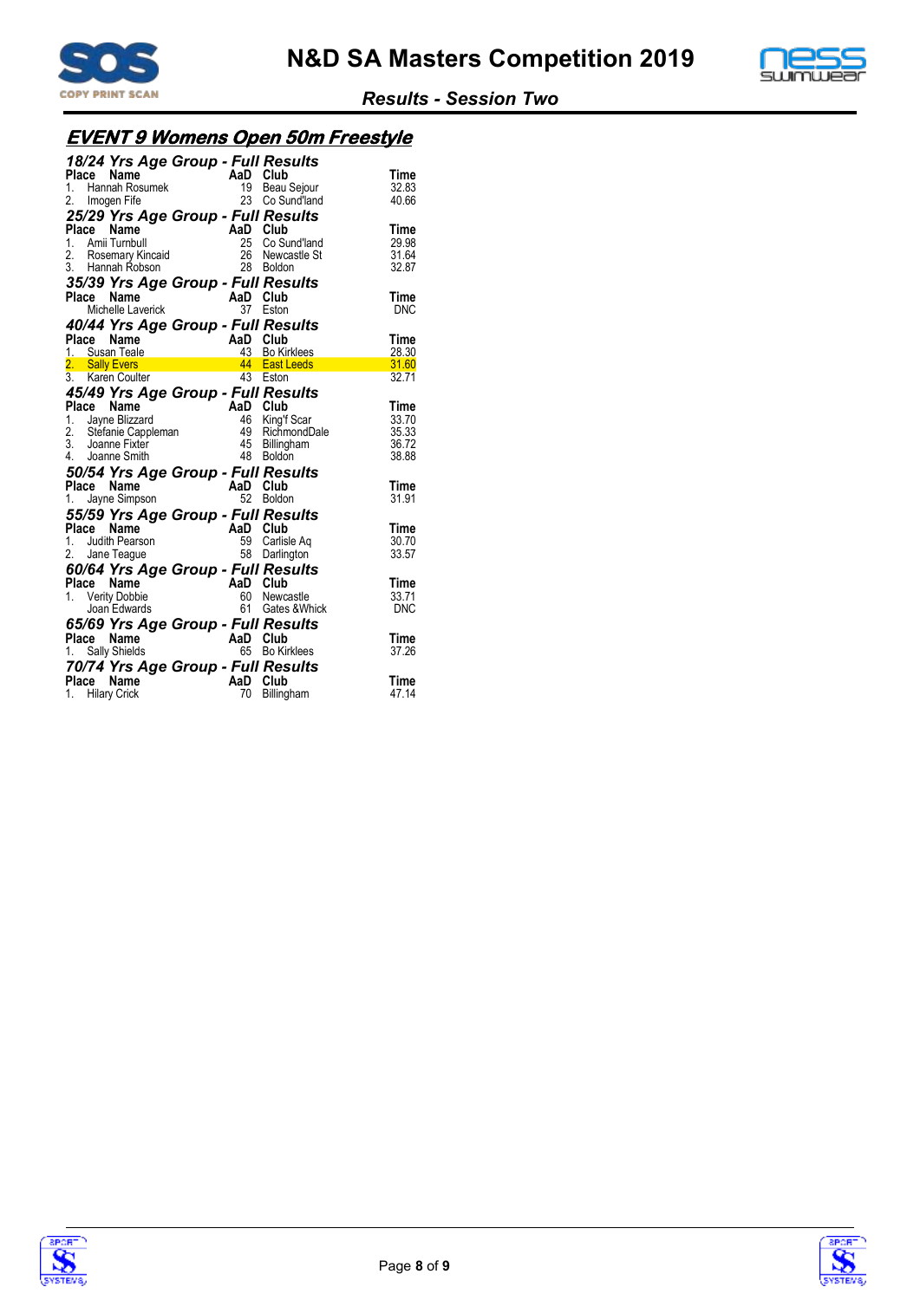



# **EVENT 9 Womens Open 50m Freestyle**

| 18/24 Yrs Age Group - Full Results<br>ruace Name<br>1. Hannah Rosumek<br>2. Imogen Fife 23 Co Su<br>25/22 Y                                                                                                             |          |                 | Time           |
|-------------------------------------------------------------------------------------------------------------------------------------------------------------------------------------------------------------------------|----------|-----------------|----------------|
|                                                                                                                                                                                                                         |          | Beau Sejour     | 32.83          |
|                                                                                                                                                                                                                         |          | 23 Co Sund'land | 40.66          |
| 25/29 Yrs Age Group - Full Results                                                                                                                                                                                      |          |                 | Time           |
|                                                                                                                                                                                                                         |          | Co Sund'land    | 29.98          |
| Place Name<br>1. Amii Turnbull<br>2. Rosemary Kincaid<br>3. Hannah Robson<br>2. Boldon<br>2. Boldon<br>2. Boldon                                                                                                        |          | Newcastle St    | 31.64          |
|                                                                                                                                                                                                                         |          |                 | 32.87          |
| 35/39 Yrs Age Group - Full Results<br>Place Name                                                                                                                                                                        |          |                 | Time           |
| Je <b>name</b><br>Michelle Laverick <b>AaD Club</b><br>AaC Teston 37 Eston                                                                                                                                              |          |                 | <b>DNC</b>     |
| 40/44 Yrs Age Group - Full Results                                                                                                                                                                                      |          |                 |                |
| Place Name<br>1. Susan Teale<br>2. Sally Evers<br>3. Karen Coulter<br>2. Sally Evers<br>3. Karen Coulter<br>4. Bast Leeds<br>4. Bast Leeds<br>4. Bast Leeds<br>5. All Coulter<br>4. Bast Leeds                          |          |                 | Time           |
|                                                                                                                                                                                                                         |          | 43 Bo Kirklees  | 28.30          |
|                                                                                                                                                                                                                         |          |                 | 31.60<br>32.71 |
|                                                                                                                                                                                                                         |          |                 |                |
| 45/49 Yrs Age Group - Full Results                                                                                                                                                                                      |          |                 | Time           |
|                                                                                                                                                                                                                         |          | King'f Scar     | 33.70          |
|                                                                                                                                                                                                                         |          | RichmondDale    | 35.33          |
|                                                                                                                                                                                                                         |          | Billingham      | 36.72          |
| Place Name<br>1. Jayne Blizzard<br>1. Jayne Blizzard<br>2. Stefanie Cappleman<br>3. Joanne Fixter<br>4. Joanne Smith<br>4. Joanne Smith<br>4. Billingh.<br>2. Stefanie Cappleman<br>3. Joanne Fixter<br>4. Joanne Smith |          |                 | 38.88          |
| 50/54 Yrs Age Group - Full Results                                                                                                                                                                                      |          |                 |                |
| ce Name AaD Club<br>Jayne Simpson 52 Boldor<br>Place Name                                                                                                                                                               |          |                 | Time           |
| 1.                                                                                                                                                                                                                      |          | 52 Boldon       | 31.91          |
| 55/59 Yrs Age Group - Full Results                                                                                                                                                                                      |          |                 |                |
| Place Name<br>AaD Club<br>59 Carlis                                                                                                                                                                                     |          |                 | Time           |
| 1. Judith Pearson                                                                                                                                                                                                       |          | Carlisle Ag     | 30.70<br>33.57 |
| 2. Jane Teague                                                                                                                                                                                                          |          | 58 Darlington   |                |
| 60/64 Yrs Age Group - Full Results                                                                                                                                                                                      |          |                 |                |
| $\mathsf{AaD}$ $\mathsf{Club}$ $\mathsf{G0}$ $\mathsf{Naw}$<br>Place Name                                                                                                                                               |          | 60 Newcastle    | Time<br>33.71  |
| 1. Verity Dobbie<br>Joan Edwards                                                                                                                                                                                        | 61       | Gates & Whick   | <b>DNC</b>     |
| 65/69 Yrs Age Group - Full Results                                                                                                                                                                                      |          |                 |                |
| Place Name<br>$AaD$ Club                                                                                                                                                                                                |          |                 | Time           |
| 1. Sally Shields                                                                                                                                                                                                        |          | 65 Bo Kirklees  | 37.26          |
| 70/74 Yrs Age Group - Full Results                                                                                                                                                                                      |          |                 |                |
| Place Name                                                                                                                                                                                                              | AaD Club |                 | Time           |
| 1. Hilary Crick                                                                                                                                                                                                         | 70       | Billingham      | 47.14          |



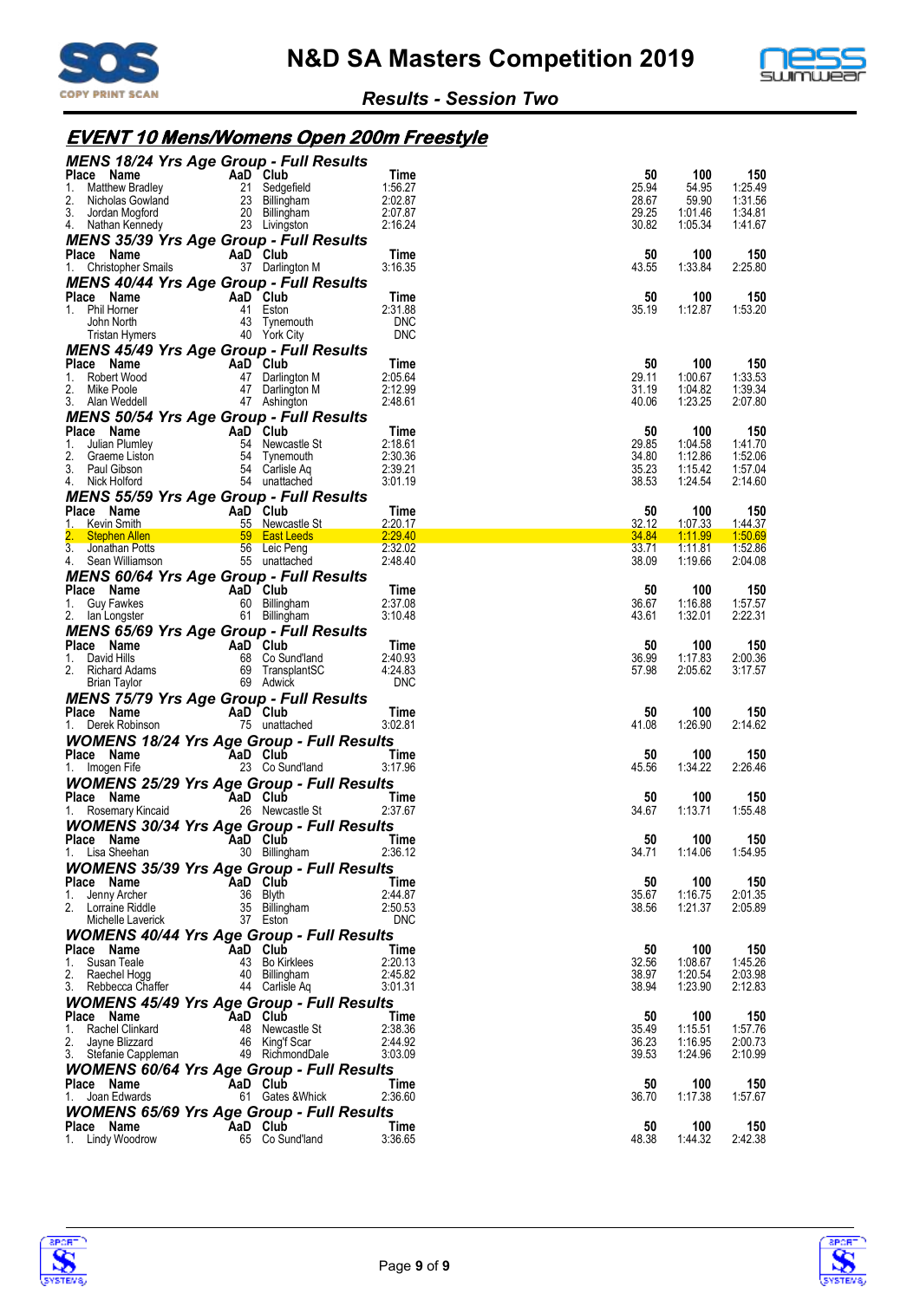



# **EVENT 10 Mens/Womens Open 200m Freestyle**

| <b>MENS 18/24 Yrs Age Group - Full Results</b>                                                                                                           |                                                                                          |                          |                |                    |                    |
|----------------------------------------------------------------------------------------------------------------------------------------------------------|------------------------------------------------------------------------------------------|--------------------------|----------------|--------------------|--------------------|
| Place Name<br>1.                                                                                                                                         | AaD Club<br>AaD Club<br>21 Sedgefield<br>23 Billingham<br>20 Billingham<br>23 Livingston | Time<br>1:56.27          | 50<br>25.94    | 100<br>54.95       | 150<br>1:25.49     |
| Matthew Bradley<br>Matthew Bradley<br>Nicholas Gowland<br>Jordan Mogford<br>2.                                                                           |                                                                                          | 2:02.87                  | 28.67          | 59.90              | 1:31.56            |
| 3.                                                                                                                                                       |                                                                                          | 2:07.87                  | 29.25          | 1:01.46            | 1:34.81            |
| 4. Nathan Kennedy                                                                                                                                        | 23 Livingston                                                                            | 2:16.24                  | 30.82          | 1:05.34            | 1:41.67            |
| <b>MENS 35/39 Yrs Age Group - Full Results</b>                                                                                                           |                                                                                          |                          |                |                    |                    |
| Place Name<br>1. Christopher Smails                                                                                                                      | AaD Club<br>37 Darlington M                                                              | Time<br>3:16.35          | 50<br>43.55    | 100<br>1:33.84     | 150<br>2:25.80     |
| <b>MENS 40/44 Yrs Age Group - Full Results</b>                                                                                                           |                                                                                          |                          |                |                    |                    |
| AaD Club<br>Place Name                                                                                                                                   |                                                                                          | Time                     | 50             | 100                | 150                |
| 1. Phil Horner                                                                                                                                           | 41 Eston                                                                                 | 2:31.88                  | 35.19          | 1:12.87            | 1:53.20            |
| John North<br><b>Tristan Hymers</b>                                                                                                                      | 43 Tynemouth                                                                             | <b>DNC</b><br><b>DNC</b> |                |                    |                    |
|                                                                                                                                                          | 40 York City                                                                             |                          |                |                    |                    |
| <b>MENS 45/49 Yrs Age Group - Full Results</b><br>Place Name                                                                                             | AaD Club                                                                                 | Time                     | 50             | 100                | 150                |
| 1.<br>Robert Wood                                                                                                                                        | 47 Darlington M                                                                          | 2:05.64                  | 29.11          | 1:00.67            | 1:33.53            |
| 2.<br>Mike Poole                                                                                                                                         | 47 Darlington M                                                                          | 2:12.99                  | 31.19          | 1:04.82            | 1:39.34            |
| 3. Alan Weddell                                                                                                                                          | 47 Ashington                                                                             | 2:48.61                  | 40.06          | 1:23.25            | 2:07.80            |
| <b>MENS 50/54 Yrs Age Group - Full Results</b>                                                                                                           |                                                                                          |                          |                |                    |                    |
| Ce Name<br>Julian Plumley<br>Graeme Liston<br>Paul Gibson<br>Paul Gibson<br>Paul Gibson<br>Paul Gibson<br>Paul Gibson<br>Paul Gibson<br>Place Name<br>1. |                                                                                          | Time<br>2:18.61          | 50<br>29.85    | 100<br>1:04.58     | 150<br>1:41.70     |
| 2.                                                                                                                                                       |                                                                                          | 2:30.36                  | 34.80          | 1:12.86            | 1:52.06            |
| 3.<br>Paul Gibson                                                                                                                                        | 54 Carlisle Aq                                                                           | 2:39.21                  | 35.23          | 1:15.42            | 1:57.04            |
| Nick Holford<br>4.                                                                                                                                       | 54 unattached                                                                            | 3:01.19                  | 38.53          | 1:24.54            | 2:14.60            |
| <b>MENS 55/59 Yrs Age Group - Full Results</b>                                                                                                           |                                                                                          |                          |                |                    |                    |
| Place Name<br>AaD Club<br>55 Newca<br>Kevin Smith<br>1.                                                                                                  | 55 Newcastle St                                                                          | Time<br>2:20.17          | 50<br>32.12    | 100<br>1:07.33     | 150<br>1:44.37     |
| Stephen Allen <b>by East Leeds Special Stephen Allen</b><br>2.                                                                                           |                                                                                          | 2:29.40                  | 34.84          | 1:11.99            | 1:50.69            |
| 3. Jonathan Potts<br>4. Sean Williamson                                                                                                                  | 56 Leic Peng                                                                             | 2:32.02                  | 33.71          | 1:11.81            | 1:52.86            |
| 4. Sean Williamson                                                                                                                                       | 55 unattached                                                                            | 2:48.40                  | 38.09          | 1:19.66            | 2:04.08            |
| <b>MENS 60/64 Yrs Age Group - Full Results</b>                                                                                                           |                                                                                          |                          |                | 100                | 150                |
| Place Name<br>1. Guy Fawkes                                                                                                                              | AaD Club<br>60 Billingham                                                                | Time<br>2:37.08          | 50<br>36.67    | 1:16.88            | 1:57.57            |
| 2. Ian Longster                                                                                                                                          | 61 Billingham                                                                            | 3:10.48                  | 43.61          | 1:32.01            | 2:22.31            |
| <b>MENS 65/69 Yrs Age Group - Full Results</b>                                                                                                           |                                                                                          |                          |                |                    |                    |
| Place Name                                                                                                                                               | AaD Club                                                                                 | Time                     | 50             | 100                | 150                |
| David Hills<br>1.                                                                                                                                        | 68 Co Sund'land                                                                          | 2:40.93                  | 36.99          | 1:17.83            | 2:00.36            |
| 2.<br>Richard Adams<br>Brian Taylor                                                                                                                      | 69 TransplantSC<br>69 Adwick                                                             | 4:24.83<br><b>DNC</b>    | 57.98          | 2:05.62            | 3:17.57            |
| <b>MENS 75/79 Yrs Age Group - Full Results</b>                                                                                                           |                                                                                          |                          |                |                    |                    |
| Place Name                                                                                                                                               | AaD Club                                                                                 | Time                     | 50             | 100                | 150                |
| Derek Robinson<br>1.                                                                                                                                     | 75 unattached                                                                            | 3:02.81                  | 41.08          | 1:26.90            | 2:14.62            |
| <b>WOMENS 18/24 Yrs Age Group - Full Results</b>                                                                                                         |                                                                                          |                          |                |                    |                    |
| Place Name                                                                                                                                               | AaD Club                                                                                 | Time                     | 50             | 100                | 150                |
| 1. Imogen Fife                                                                                                                                           | 23 Co Sund'land                                                                          | 3:17.96                  | 45.56          | 1:34.22            | 2:26.46            |
| <b>WOMENS 25/29 Yrs Age Group - Full Results</b><br>Place Name                                                                                           |                                                                                          |                          |                |                    |                    |
| 1.<br>Rosemary Kincaid                                                                                                                                   | AaD Club<br>26 Newcastle St                                                              | Time<br>2:37.67          | 50<br>34.67    | 100<br>1:13.71     | 150<br>1:55.48     |
| <b>WOMENS 30/34 Yrs Age Group - Full Results</b>                                                                                                         |                                                                                          |                          |                |                    |                    |
| Place Name                                                                                                                                               | AaD Club                                                                                 | Time                     | 50             | 100                | 150                |
| 1. Lisa Sheehan                                                                                                                                          | 30 Billingham                                                                            | 2:36.12                  | 34.71          | 1:14.06            | 1:54.95            |
| <b>WOMENS 35/39 Yrs Age Group - Full Results</b>                                                                                                         |                                                                                          |                          |                |                    |                    |
| Place Name                                                                                                                                               | AaD Club                                                                                 | Time                     | 50             | 100                | 150                |
| Jenny Archer<br>1.<br>2. Lorraine Riddle                                                                                                                 | 36 Blyth<br>35 Billingham                                                                | 2:44.87<br>2:50.53       | 35.67<br>38.56 | 1:16.75<br>1:21.37 | 2:01.35<br>2:05.89 |
| Michelle Laverick                                                                                                                                        | 37 Eston                                                                                 | <b>DNC</b>               |                |                    |                    |
| <b>WOMENS 40/44 Yrs Age Group - Full Results</b>                                                                                                         |                                                                                          |                          |                |                    |                    |
| Place Name                                                                                                                                               | AaD Club                                                                                 | Time                     | 50             | 100                | 150                |
| Susan Teale<br>1.                                                                                                                                        | 43 Bo Kirklees                                                                           | 2:20.13                  | 32.56          | 1:08.67            | 1:45.26            |
| 2.<br>Raechel Hogg<br>3.<br>Rebbecca Chaffer                                                                                                             | 40 Billingham<br>44 Carlisle Aq                                                          | 2:45.82<br>3:01.31       | 38.97<br>38.94 | 1:20.54<br>1:23.90 | 2:03.98<br>2:12.83 |
| <b>WOMENS 45/49 Yrs Age Group - Full Results</b>                                                                                                         |                                                                                          |                          |                |                    |                    |
| Place Name                                                                                                                                               | AaD Club                                                                                 | Time                     | 50             | 100                | 150                |
| Rachel Clinkard<br>1.                                                                                                                                    | 48 Newcastle St                                                                          | 2:38.36                  | 35.49          | 1:15.51            | 1:57.76            |
| 2.<br>Jayne Blizzard                                                                                                                                     | 46 King'f Scar                                                                           | 2:44.92                  | 36.23          | 1:16.95            | 2:00.73            |
| 3. Stefanie Cappleman                                                                                                                                    | 49 RichmondDale                                                                          | 3:03.09                  | 39.53          | 1:24.96            | 2:10.99            |
| <b>WOMENS 60/64 Yrs Age Group - Full Results</b><br>Place Name                                                                                           | AaD Club                                                                                 | Time                     | 50             | 100                | 150                |
| Joan Edwards<br>1.                                                                                                                                       | 61 Gates & Whick                                                                         | 2:36.60                  | 36.70          | 1:17.38            | 1:57.67            |
| <b>WOMENS 65/69 Yrs Age Group - Full Results</b>                                                                                                         |                                                                                          |                          |                |                    |                    |
| Place Name                                                                                                                                               | AaD Club                                                                                 | Time                     | 50             | 100                | 150                |
| 1. Lindy Woodrow                                                                                                                                         | 65 Co Sund'land                                                                          | 3:36.65                  | 48.38          | 1:44.32            | 2:42.38            |



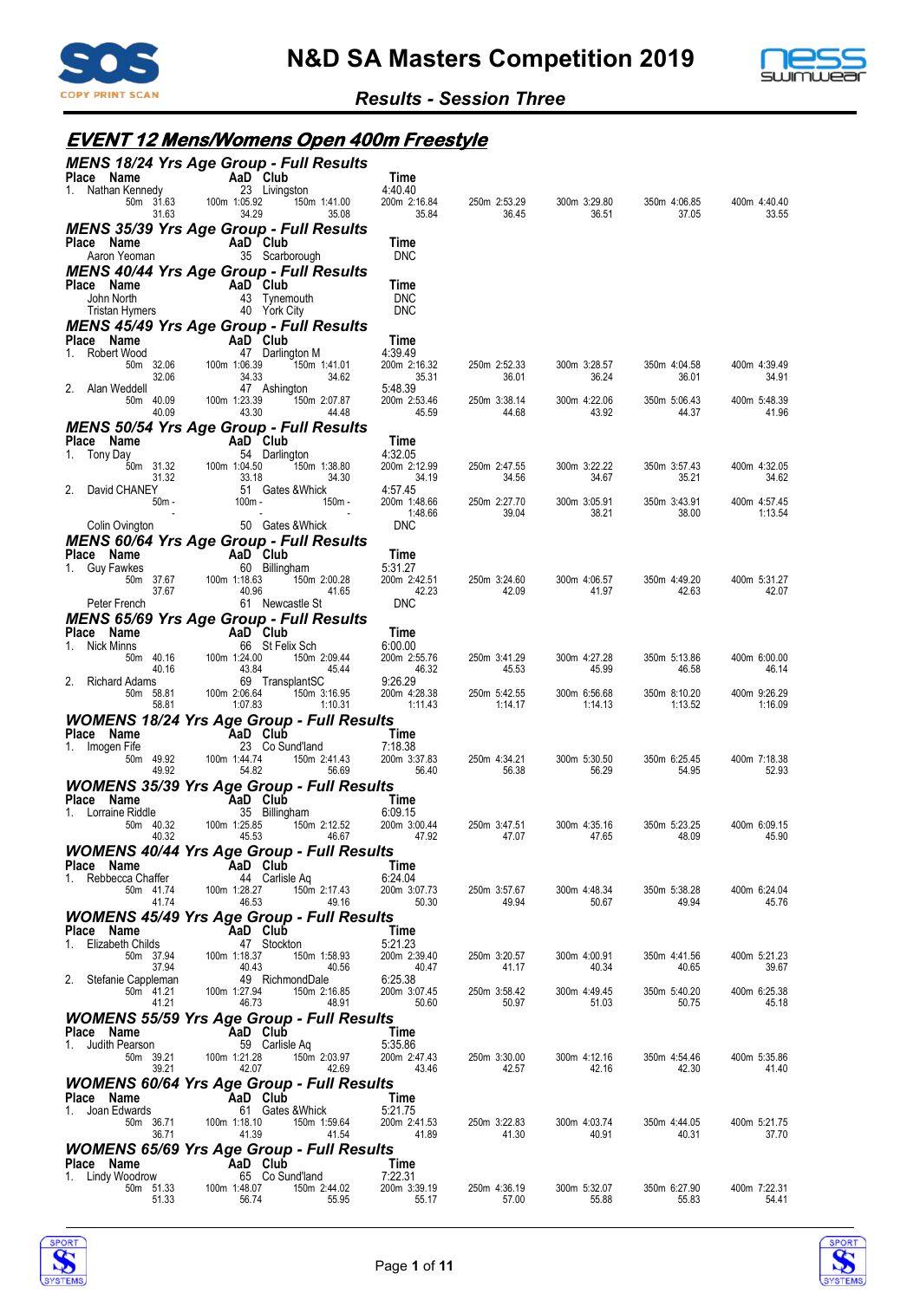



#### **EVENT 12 Mens/Womens Open 400m Freestyle**

| Place Name                          | <b>MENS 18/24 Yrs Age Group - Full Results</b>                     | Time                    |                         |                         |                         |                         |
|-------------------------------------|--------------------------------------------------------------------|-------------------------|-------------------------|-------------------------|-------------------------|-------------------------|
| 1. Nathan Kennedy                   | $\overline{AB}$ Club<br>23 Livingston                              | 4:40.40                 |                         |                         |                         |                         |
| 50m 31.63<br>31.63                  | 100m 1:05.92<br>150m 1:41.00<br>34.29<br>35.08                     | 200m 2:16.84<br>35.84   | 250m 2:53.29<br>36.45   | 300m 3:29.80<br>36.51   | 350m 4:06.85<br>37.05   | 400m 4:40.40<br>33.55   |
|                                     | <b>MENS 35/39 Yrs Age Group - Full Results</b>                     |                         |                         |                         |                         |                         |
| Place Name<br>Aaron Yeoman          | AaD Club<br>35 Scarborough                                         | Time<br><b>DNC</b>      |                         |                         |                         |                         |
|                                     | <b>MENS 40/44 Yrs Age Group - Full Results</b>                     |                         |                         |                         |                         |                         |
| Place Name<br>John North            | AaD Club<br>43 Tynemouth                                           | Time<br><b>DNC</b>      |                         |                         |                         |                         |
| Tristan Hymers                      | 40 York City                                                       | <b>DNC</b>              |                         |                         |                         |                         |
| Place Name                          | <b>MENS 45/49 Yrs Age Group - Full Results</b><br>AaD Club         | Time                    |                         |                         |                         |                         |
| Robert Wood<br>1.                   | 47 Darlington M                                                    | 4:39.49                 |                         |                         |                         |                         |
| 50m 32.06<br>32.06                  | 100m 1:06.39<br>150m 1:41.01<br>34.33<br>34.62                     | 200m 2:16.32<br>35.31   | 250m 2:52.33<br>36.01   | 300m 3:28.57<br>36.24   | 350m 4:04.58<br>36.01   | 400m 4:39.49<br>34.91   |
| 2. Alan Weddell<br>50m 40.09        | 47 Ashington<br>100m 1:23.39<br>150m 2:07.87                       | 5:48.39<br>200m 2:53.46 | 250m 3:38.14            | 300m 4:22.06            | 350m 5:06.43            | 400m 5:48.39            |
| 40.09                               | 43.30<br>44.48                                                     | 45.59                   | 44.68                   | 43.92                   | 44.37                   | 41.96                   |
| Place Name                          | <b>MENS 50/54 Yrs Age Group - Full Results</b><br>AaD Club         | Time                    |                         |                         |                         |                         |
| Tony Day<br>1.                      | 54 Darlington                                                      | 4:32.05                 |                         |                         |                         |                         |
| 50m 31.32<br>31.32                  | 100m 1:04.50<br>150m 1:38.80<br>33.18<br>34.30                     | 200m 2:12.99<br>34.19   | 250m 2:47.55<br>34.56   | 300m 3:22.22<br>34.67   | 350m 3:57.43<br>35.21   | 400m 4:32.05<br>34.62   |
| David CHANEY<br>2.<br>$50m -$       | 51 Gates & Whick<br>$100m -$<br>150m -                             | 4:57.45<br>200m 1:48.66 | 250m 2:27.70            | 300m 3:05.91            | 350m 3:43.91            | 400m 4:57.45            |
|                                     | $\overline{\phantom{a}}$                                           | 1:48.66                 | 39.04                   | 38.21                   | 38.00                   | 1:13.54                 |
| Colin Ovington                      | 50 Gates & Whick<br><b>MENS 60/64 Yrs Age Group - Full Results</b> | <b>DNC</b>              |                         |                         |                         |                         |
| Place Name                          | AaD Club                                                           | Time                    |                         |                         |                         |                         |
| 1.<br>Guy Fawkes<br>50m 37.67       | 60 Billingham<br>100m 1:18.63<br>150m 2:00.28                      | 5:31.27<br>200m 2:42.51 | 250m 3:24.60            | 300m 4:06.57            | 350m 4:49.20            | 400m 5:31.27            |
| 37.67<br>Peter French               | 40.96<br>41.65<br>61 Newcastle St                                  | 42.23<br><b>DNC</b>     | 42.09                   | 41.97                   | 42.63                   | 42.07                   |
|                                     | <b>MENS 65/69 Yrs Age Group - Full Results</b>                     |                         |                         |                         |                         |                         |
| Place Name<br>Nick Minns<br>1.      | AaD Club<br>66 St Felix Sch                                        | Time<br>6:00.00         |                         |                         |                         |                         |
| 50m 40.16                           | 100m 1:24.00<br>150m 2:09.44                                       | 200m 2:55.76            | 250m 3:41.29            | 300m 4:27.28            | 350m 5:13.86            | 400m 6:00.00            |
| 40.16<br>2. Richard Adams           | 45.44<br>43.84<br>69 TransplantSC                                  | 46.32<br>9:26.29        | 45.53                   | 45.99                   | 46.58                   | 46.14                   |
| 50m 58.81<br>58.81                  | 100m 2:06.64<br>150m 3:16.95<br>1:07.83<br>1:10.31                 | 200m 4:28.38<br>1:11.43 | 250m 5:42.55<br>1:14.17 | 300m 6:56.68<br>1:14.13 | 350m 8:10.20<br>1:13.52 | 400m 9:26.29<br>1:16.09 |
|                                     | <b>WOMENS 18/24 Yrs Age Group - Full Results</b>                   |                         |                         |                         |                         |                         |
| Place Name<br>1. Imogen Fife        | AaD Club<br>23 Co Sund'land                                        | Time<br>7:18.38         |                         |                         |                         |                         |
| 50m 49.92                           | 100m 1:44.74<br>150m 2:41.43                                       | 200m 3:37.83            | 250m 4:34.21            | 300m 5:30.50            | 350m 6:25.45            | 400m 7:18.38            |
| 49.92                               | 54.82<br>56.69<br><b>WOMENS 35/39 Yrs Age Group - Full Results</b> | 56.40                   | 56.38                   | 56.29                   | 54.95                   | 52.93                   |
| Place Name                          | AaD Club                                                           | Time                    |                         |                         |                         |                         |
| 1. Lorraine Riddle<br>50m 40.32     | 35 Billingham<br>100m 1:25.85<br>150m 2:12.52                      | 6:09.15<br>200m 3:00.44 | 250m 3:47.51            | 300m 4:35.16            | 350m 5:23.25            | 400m 6:09.15            |
| 40.32                               | 45.53<br>46.67                                                     | 47.92                   | 47.07                   | 47.65                   | 48.09                   | 45.90                   |
| Place Name                          | <b>WOMENS 40/44 Yrs Age Group - Full Results</b><br>AaD Club       | Time                    |                         |                         |                         |                         |
| Rebbecca Chaffer<br>1.<br>50m 41.74 | 44 Carlisle Aq<br>100m 1:28.27<br>150m 2:17.43                     | 6:24.04<br>200m 3:07.73 | 250m 3:57.67            | 300m 4:48.34            | 350m 5:38.28            | 400m 6:24.04            |
| 41.74                               | 46.53<br>49.16                                                     | 50.30                   | 49.94                   | 50.67                   | 49.94                   | 45.76                   |
| Place Name                          | <b>WOMENS 45/49 Yrs Age Group - Full Results</b><br>AaD Club       | Time                    |                         |                         |                         |                         |
| Elizabeth Childs                    | 47 Stockton                                                        | 5:21.23                 |                         |                         |                         |                         |
| 50m 37.94<br>37.94                  | 100m 1:18.37<br>150m 1:58.93<br>40.43<br>40.56                     | 200m 2:39.40<br>40.47   | 250m 3:20.57<br>41.17   | 300m 4:00.91<br>40.34   | 350m 4:41.56<br>40.65   | 400m 5:21.23<br>39.67   |
| 2. Stefanie Cappleman<br>50m 41.21  | 49 RichmondDale<br>100m 1:27.94<br>150m 2:16.85                    | 6:25.38<br>200m 3:07.45 | 250m 3:58.42            | 300m 4:49.45            | 350m 5:40.20            | 400m 6:25.38            |
| 41.21                               | 46.73<br>48.91                                                     | 50.60                   | 50.97                   | 51.03                   | 50.75                   | 45.18                   |
| Place Name                          | <b>WOMENS 55/59 Yrs Age Group - Full Results</b><br>AaD Club       | Time                    |                         |                         |                         |                         |
| 1. Judith Pearson                   | 59 Carlisle Ag                                                     | 5:35.86                 |                         |                         |                         |                         |
| 50m 39.21<br>39.21                  | 100m 1:21.28<br>150m 2:03.97<br>42.07<br>42.69                     | 200m 2:47.43<br>43.46   | 250m 3:30.00<br>42.57   | 300m 4:12.16<br>42.16   | 350m 4:54.46<br>42.30   | 400m 5:35.86<br>41.40   |
|                                     | <b>WOMENS 60/64 Yrs Age Group - Full Results</b>                   |                         |                         |                         |                         |                         |
| Place Name<br>Joan Edwards<br>1.    | AaD Club<br>61 Gates & Whick                                       | Time<br>5:21.75         |                         |                         |                         |                         |
| 50m 36.71<br>36.71                  | 100m 1:18.10<br>150m 1:59.64<br>41.39<br>41.54                     | 200m 2:41.53<br>41.89   | 250m 3:22.83<br>41.30   | 300m 4:03.74<br>40.91   | 350m 4:44.05<br>40.31   | 400m 5:21.75<br>37.70   |
|                                     | <b>WOMENS 65/69 Yrs Age Group - Full Results</b>                   |                         |                         |                         |                         |                         |
| Place Name<br>1. Lindy Woodrow      | AaD Club<br>65 Co Sund'land                                        | Time<br>7:22.31         |                         |                         |                         |                         |
| 50m 51.33                           | 100m 1:48.07<br>150m 2:44.02<br>56.74<br>55.95                     | 200m 3:39.19            | 250m 4:36.19            | 300m 5:32.07            | 350m 6:27.90            | 400m 7:22.31            |
| 51.33                               |                                                                    | 55.17                   | 57.00                   | 55.88                   | 55.83                   | 54.41                   |



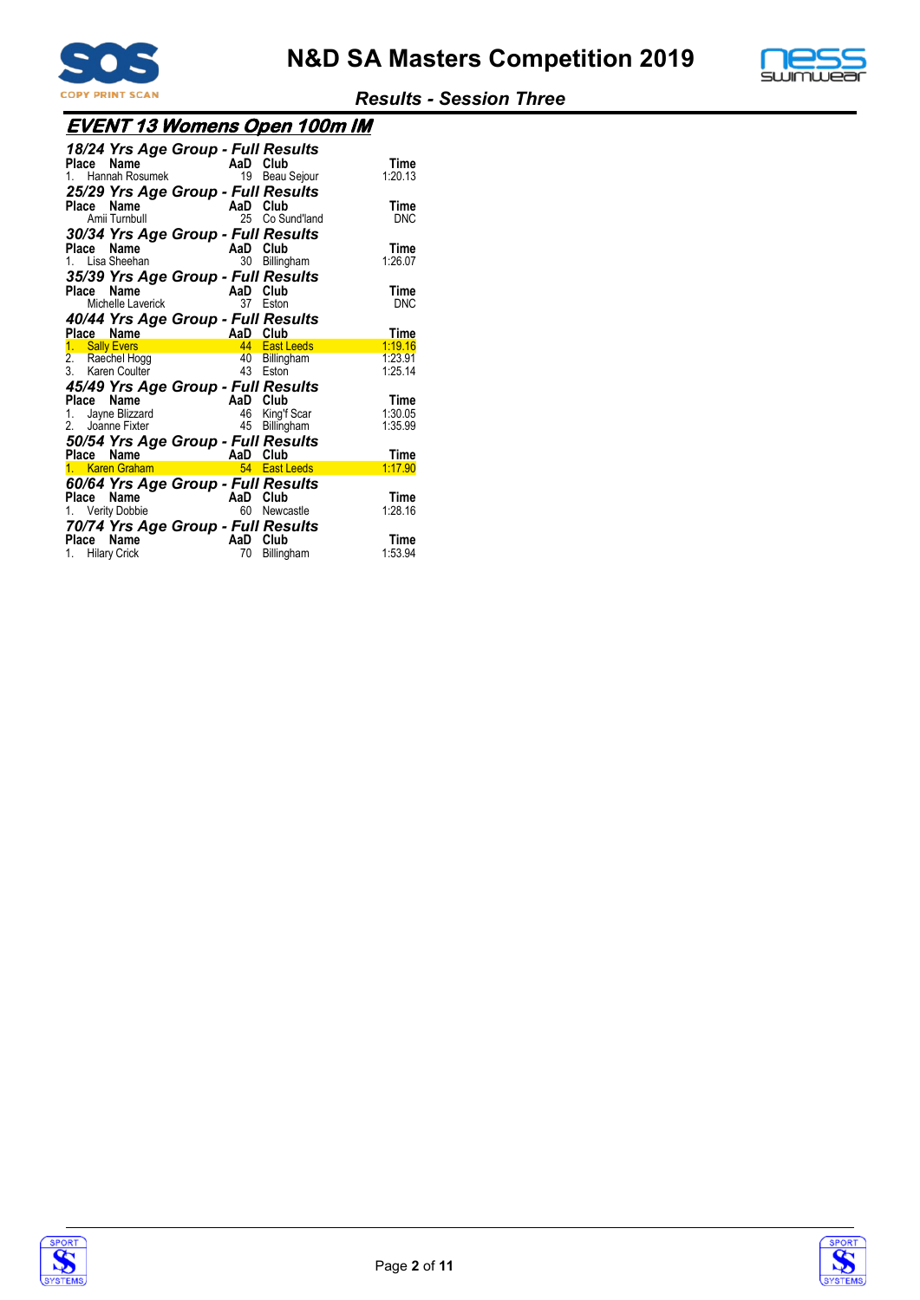



| <b>EVENT 13 Womens Open 100m IM</b> |  |
|-------------------------------------|--|
|                                     |  |

| Place Name                                            | $\frac{1}{2}$ Maille 1. Hannah Rosumek<br>Amii Turnbull | 18/24 Yrs Age Group - Full Results<br>25/29 Yrs Age Group - Full Results                                                                                                                                                                                             | AaD Club<br>19 Beau Sejour<br>AaD Club<br>Co Sund'land<br>25 | Time<br>1:20.13<br>Time<br><b>DNC</b> |
|-------------------------------------------------------|---------------------------------------------------------|----------------------------------------------------------------------------------------------------------------------------------------------------------------------------------------------------------------------------------------------------------------------|--------------------------------------------------------------|---------------------------------------|
| Place<br>1. Lisa Sheehan                              | Name                                                    | 30/34 Yrs Age Group - Full Results<br>AaD<br>35/39 Yrs Age Group - Full Results                                                                                                                                                                                      | Club<br>30<br>Billingham                                     | <b>Time</b><br>1:26.07                |
| Place Name<br>Place Name                              | Michelle Laverick                                       | 40/44 Yrs Age Group - Full Results<br><b>AaD</b>                                                                                                                                                                                                                     | AaD Club<br>37<br>Eston<br>Club                              | Time<br><b>DNC</b><br>Time            |
| 1. Sally Evers<br>2. Raechel Hogg<br>3. Karen Coulter |                                                         |                                                                                                                                                                                                                                                                      | 44 East Leeds<br>40 Billingham<br>43 Eston                   | 1:19.16<br>1:23.91<br>1:25.14         |
| Place Name<br>1.<br>2.                                | Jayne Blizzard<br>Joanne Fixter                         | 45/49 Yrs Age Group - Full Results                                                                                                                                                                                                                                   | AaD Club<br>46<br>King'f Scar<br>Billingham<br>45            | Time<br>1:30.05<br>1:35.99            |
|                                                       |                                                         | 50/54 Yrs Age Group - Full Results<br>and the manner of the state of the state of the state of the state of the state of the state of the state of the state of the state of the state of the state of the state of the state of the state of the state of the state | 54 East Leeds                                                | Time<br>1:17.90                       |
| Place Name<br>1. Verity Dobbie                        |                                                         | 60/64 Yrs Age Group - Full Results<br>70/74 Yrs Age Group - Full Results                                                                                                                                                                                             | AaD Club<br>60<br>Newcastle                                  | Time<br>1:28.16                       |
| Place Name<br>1. Hilary Crick                         |                                                         | AaD                                                                                                                                                                                                                                                                  | Club<br>70<br>Billingham                                     | Time<br>1:53.94                       |



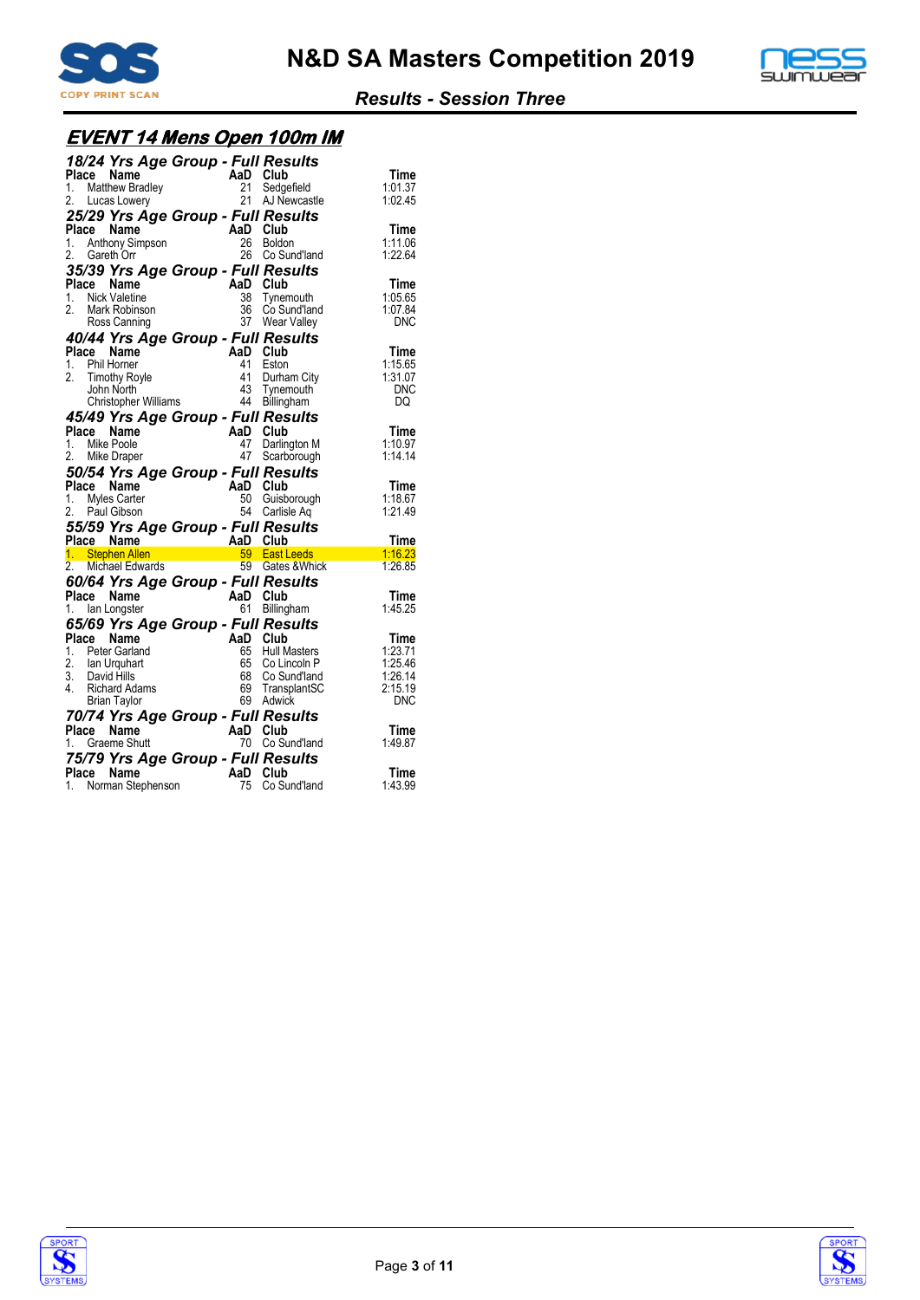



# **EVENT 14 Mens Open 100m IM**

| 18/24 Yrs Age Group - Full Results                                                        |                     | Club                          | Time               |
|-------------------------------------------------------------------------------------------|---------------------|-------------------------------|--------------------|
| <b>AaD</b><br>1. Matthew Bradley<br>2. Lucas Lowery<br>2. Lucas Lowery<br>2. Lucas Lowery |                     | Sedgefield<br>21 AJ Newcastle | 1:01.37<br>1:02.45 |
| 25/29 Yrs Age Group - Full Results                                                        |                     |                               |                    |
| Place Name<br>1. Anthony Simpson                                                          | AaD Club<br>26      | Boldon                        | Time<br>1:11.06    |
| 2. Gareth Orr                                                                             | 26                  | Co Sund'land                  | 1:22.64            |
| 35/39 Yrs Age Group - Full Results                                                        |                     |                               |                    |
| Place Name<br>1.<br><b>Nick Valetine</b>                                                  | AaD Club<br>38      | Tynemouth                     | Time<br>1:05.65    |
| 2.<br>Mark Robinson                                                                       |                     | 36 Co Sund'land               | 1:07.84            |
| Ross Canning                                                                              |                     | 37 Wear Valley                | <b>DNC</b>         |
| 40/44 Yrs Age Group - Full Results<br>Place Name                                          | AaD Club            |                               | Time               |
| 1. Phil Horner                                                                            | 41                  | Eston                         | 1:15.65            |
| 2.<br><b>Timothy Royle</b>                                                                | 41                  | Durham City                   | 1:31.07            |
| John North<br><b>Christopher Williams</b>                                                 | 43<br>44            | Tynemouth<br>Billingham       | <b>DNC</b><br>DQ   |
| 45/49 Yrs Age Group - Full Results                                                        |                     |                               |                    |
| Place<br>Name                                                                             | AaD Club            |                               | Time               |
| 1. Mike Poole<br>2.                                                                       | 47<br>47            | Darlington M<br>Scarborough   | 1:10.97<br>1:14.14 |
| Mike Draper                                                                               |                     |                               |                    |
|                                                                                           |                     |                               |                    |
| 50/54 Yrs Age Group - Full Results                                                        | AaD                 | Club                          | Time               |
| Place Name<br>1. Myles Carter                                                             | 50                  | Guisborough                   | 1:18.67            |
| 2.<br>Paul Gibson                                                                         | 54                  | Carlisle Ag                   | 1.21.49            |
| 55/59 Yrs Age Group - Full Results<br>Place Name                                          |                     |                               | Time               |
| 1. Stephen Allen                                                                          |                     | 59 East Leeds                 | 1:16.23            |
| n <b>AaD Club</b><br>ards 59 East L<br>ards 59 Gates<br>2. Michael Edwards                |                     | 59 Gates & Whick              | 1:26.85            |
| 60/64 Yrs Age Group - Full Results                                                        |                     |                               |                    |
| $\mathcal{L}^{\mathcal{L}}$<br>Place Name<br>1. Ian Longster                              | AaD Club<br>61      | Billingham                    | Time<br>1:45.25    |
| 65/69 Yrs Age Group - Full Results                                                        |                     |                               |                    |
| Place<br>Name                                                                             | AaD Club            |                               | Time               |
| 1. Peter Garland                                                                          | 65<br>65            | Hull Masters<br>Co Lincoln P  | 1:23.71<br>1:25.46 |
| 2. Ian Urquhart<br>3. David Hills                                                         | 68                  | Co Sund'land                  | 1:26.14            |
| 4. Richard Adams                                                                          |                     | 69 TransplantSC               | 2:15.19            |
| <b>Brian Taylor</b>                                                                       |                     | 69 Adwick                     | <b>DNC</b>         |
| 70/74 Yrs Age Group - Full Results<br>Place<br>Name                                       | AaD Club            |                               | Time               |
| 1. Graeme Shutt                                                                           | 70                  | Co Sund'land                  | 1:49.87            |
| 75/79 Yrs Age Group - Full Results<br><b>Name</b><br>Place                                | $AaD$ <sub>75</sub> | Club                          | Time               |



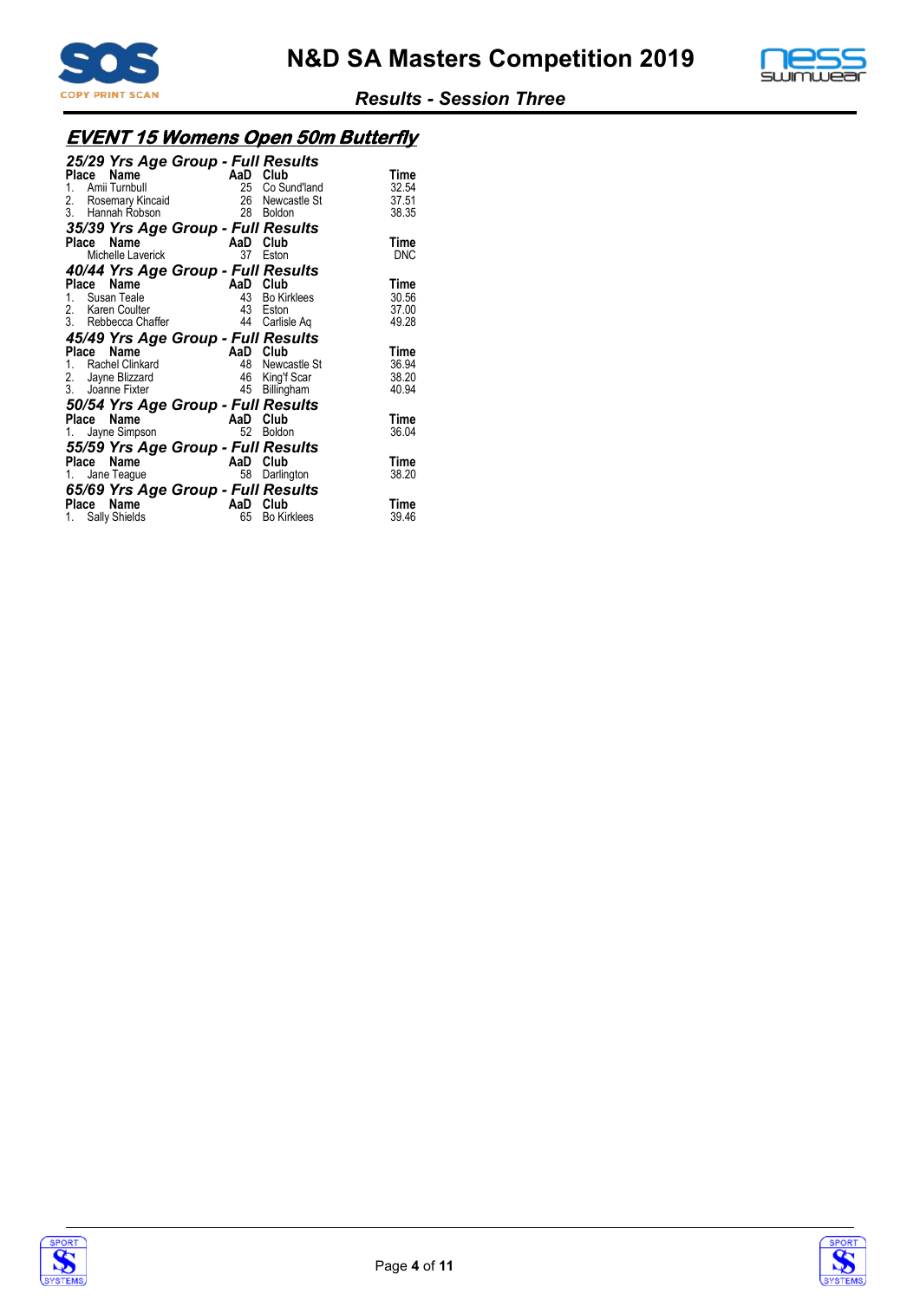



# **EVENT 15 Womens Open 50m Butterfly**

| 25/29 Yrs Age Group - Full Results<br>Name<br>Place<br>Amii Turnbull<br>1.<br>2. Rosemary Kincaid<br>3. Hannah Robson | AaD Club<br>28  | 25 Co Sund'land<br>26 Newcastle St<br>Boldon          | Time<br>32.54<br>37.51<br>38.35 |
|-----------------------------------------------------------------------------------------------------------------------|-----------------|-------------------------------------------------------|---------------------------------|
| 35/39 Yrs Age Group - Full Results                                                                                    |                 |                                                       |                                 |
| Name<br>Place<br>Michelle Laverick                                                                                    | AaD Club        | 37 Eston                                              | Time<br>DNC                     |
| 40/44 Yrs Age Group - Full Results                                                                                    |                 |                                                       |                                 |
| Name<br>Place<br>1. Susan Teale<br>2. Karen Coulter<br>3. Rebbecca Chaffer                                            | AaD<br>43<br>44 | Club<br><b>Bo Kirklees</b><br>43 Eston<br>Carlisle Ag | Time<br>30.56<br>37.00<br>49.28 |
| 45/49 Yrs Age Group - Full Results                                                                                    |                 |                                                       |                                 |
| Place<br>Name<br>1. Rachel Clinkard<br>2. Jayne Blizzard<br>3. Joanne Fixter                                          | AaD Club<br>45  | 48 Newcastle St<br>46 King'f Scar<br>Billingham       | Time<br>36.94<br>38.20<br>40.94 |
| 50/54 Yrs Age Group - Full Results                                                                                    |                 |                                                       |                                 |
| Name<br>Place<br>Jayne Simpson<br>1.                                                                                  | AaD<br>52       | Club<br><b>Boldon</b>                                 | Time<br>36.04                   |
| 55/59 Yrs Age Group - Full Results                                                                                    |                 |                                                       |                                 |
| Name<br>Place<br>Jane Teague<br>1.                                                                                    | AaD Club<br>58  | Darlington                                            | Time<br>38.20                   |
| 65/69 Yrs Age Group - Full Results<br>Name<br>Place<br>1. Sally Shields                                               | AaD<br>65       | Club<br><b>Bo Kirklees</b>                            | Time<br>39.46                   |



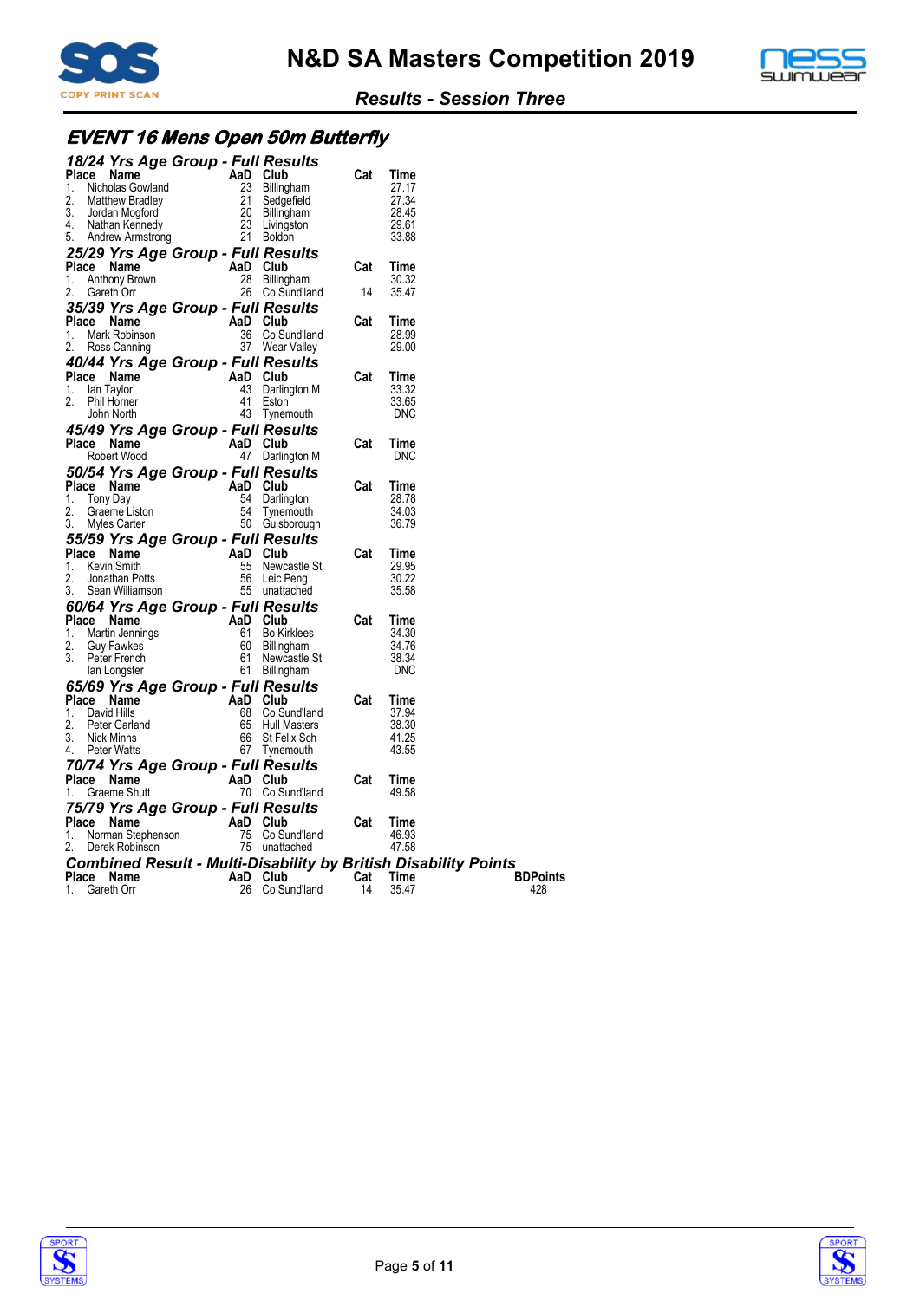



# **EVENT 16 Mens Open 50m Butterfly**

| 18/24 Yrs Age Group - Full Results                                                                                                                                                                                                                         |          |                                                |      |                |                 |
|------------------------------------------------------------------------------------------------------------------------------------------------------------------------------------------------------------------------------------------------------------|----------|------------------------------------------------|------|----------------|-----------------|
| <b>Place Name</b><br>1. Nicholas Gowland<br>2. Matthew Bradley<br>2. Matthew Bradley<br>3. Jordan Mogford<br>4. Nathan Kennedy<br>5. Andrew Armstrong<br>5. Andrew Armstrong<br>21 Boldon                                                                  |          |                                                | Cat  | Time           |                 |
|                                                                                                                                                                                                                                                            |          |                                                |      | 27.17          |                 |
|                                                                                                                                                                                                                                                            |          |                                                |      | 27.34          |                 |
|                                                                                                                                                                                                                                                            |          |                                                |      | 28.45<br>29.61 |                 |
|                                                                                                                                                                                                                                                            |          |                                                |      | 33.88          |                 |
|                                                                                                                                                                                                                                                            |          |                                                |      |                |                 |
| 25/29 Yrs Age Group - Full Results                                                                                                                                                                                                                         |          |                                                | Cat  | Time           |                 |
| <b>Place Name</b><br>1. Anthony Brown<br>2. Careth Orr and 2. Consulting                                                                                                                                                                                   |          | 28 Billingham                                  |      | 30.32          |                 |
| 2.<br>Gareth Orr                                                                                                                                                                                                                                           |          | 26 Co Sund'land                                | - 14 | 35.47          |                 |
| 35/39 Yrs Age Group - Full Results                                                                                                                                                                                                                         |          |                                                |      |                |                 |
| Place Name                                                                                                                                                                                                                                                 | AaD Club |                                                | Cat  | Time           |                 |
| <b>ce Name Filter Additional Property</b><br>Mark Robinson<br>Ross Canning<br>1.                                                                                                                                                                           |          | 36 Co Sund'land                                |      | 28.99          |                 |
| 2.<br>Ross Canning                                                                                                                                                                                                                                         |          | 37 Wear Valley                                 |      | 29.00          |                 |
| 40/44 Yrs Age Group - Full Results                                                                                                                                                                                                                         |          |                                                |      |                |                 |
| <b>Place Name</b><br>1. Ian Taylor <b>1.</b> AaD Club<br>2. Phil Horner <b>1.</b> Eston                                                                                                                                                                    |          |                                                | Cat  | Time           |                 |
|                                                                                                                                                                                                                                                            |          | 43 Darlington M                                |      | 33.32          |                 |
| Phil Horner<br>2.                                                                                                                                                                                                                                          |          | 41 Eston                                       |      | 33.65          |                 |
| John North                                                                                                                                                                                                                                                 |          | 43 Tynemouth                                   |      | <b>DNC</b>     |                 |
| 45/49 Yrs Age Group - Full Results                                                                                                                                                                                                                         |          |                                                |      |                |                 |
| Place Name                                                                                                                                                                                                                                                 |          | AaD Club                                       | Cat  | Time           |                 |
| Robert Wood                                                                                                                                                                                                                                                |          | 47 Darlington M                                |      | <b>DNC</b>     |                 |
| 50/54 Yrs Age Group - Full Results                                                                                                                                                                                                                         |          |                                                |      |                |                 |
| <b>Place Name Capacity</b><br>1. Tony Day 54 Darling<br>2. Crossnalistan                                                                                                                                                                                   |          |                                                | Cat  | Time           |                 |
| 2.<br>Graeme Liston                                                                                                                                                                                                                                        |          | 54 Darlington<br>54 Darlington<br>54 Tynemouth |      | 28.78<br>34.03 |                 |
| 3.<br>Myles Carter                                                                                                                                                                                                                                         |          | 50 Guisborough                                 |      | 36.79          |                 |
| 3. Myles Carter<br><b>55/59 Yrs Age Group - Full Results</b><br>- AaD Club<br>55/59 Yrs Age<br>Place Name<br><i>Levin Smith</i>                                                                                                                            |          |                                                |      |                |                 |
|                                                                                                                                                                                                                                                            |          | AaD Club                                       | Cat  | Time           |                 |
|                                                                                                                                                                                                                                                            |          | $55$ Newcastle St                              |      | 29.95          |                 |
| 2.<br>Jonathan Potts                                                                                                                                                                                                                                       |          |                                                |      | 30.22          |                 |
| Sean Williamson                                                                                                                                                                                                                                            |          | bb Leic ריפוואַ<br>55 unattached               |      | 35.58          |                 |
| 3. Sean Williamson<br>60/64 Yrs Age Group - Full Results<br>21355 Mama Man AaD Club                                                                                                                                                                        |          |                                                |      |                |                 |
| Ce Name<br>Martin Jennings<br>Ce Name<br>Martin Jennings<br>Guy Fawkes<br>Peter French<br>San Longster<br>Ce Stan Longster<br>Ce Stan Longster<br>Ce Stan Longster<br>Ce Stan Longster<br>Ce Stan Longster<br>Ce Stan Longster<br>Ce Stan Longster<br>Ce S |          |                                                | Cat  | Time           |                 |
| 1.                                                                                                                                                                                                                                                         |          |                                                |      | 34.30          |                 |
| 2.                                                                                                                                                                                                                                                         |          |                                                |      | 34.76          |                 |
|                                                                                                                                                                                                                                                            |          |                                                |      | 38.34<br>DNC   |                 |
|                                                                                                                                                                                                                                                            |          |                                                |      |                |                 |
| 65/69 Yrs Age Group - Full Results                                                                                                                                                                                                                         |          |                                                | Cat  | Time           |                 |
| <b>Place Name</b><br>1. David Hills<br>2. Peter Garland<br>2. Peter Garland<br>65 Hull M                                                                                                                                                                   |          | 68 Co Sund'land                                |      | 37.94          |                 |
| 2.<br>Peter Garland                                                                                                                                                                                                                                        |          | 65 Hull Masters                                |      | 38.30          |                 |
| Nick Minns<br>3.                                                                                                                                                                                                                                           |          | 66 St Felix Sch                                |      | 41.25          |                 |
| Peter Watts<br>4.                                                                                                                                                                                                                                          |          | 67 Tynemouth                                   |      | 43.55          |                 |
| 70/74 Yrs Age Group - Full Results                                                                                                                                                                                                                         |          |                                                |      |                |                 |
| Place Name                                                                                                                                                                                                                                                 | AaD Club |                                                | Cat  | Time           |                 |
| Graeme Shutt<br>1.                                                                                                                                                                                                                                         |          | 70 Co Sund'land                                |      | 49.58          |                 |
| 75/79 Yrs Age Group - Full Results                                                                                                                                                                                                                         |          |                                                |      |                |                 |
| Place Name<br>Provided and September 2015<br>Name Stephenson 75 Co Sund'land<br>Derek Robinson 75 unattached                                                                                                                                               |          |                                                |      | Time           |                 |
| 1.                                                                                                                                                                                                                                                         |          |                                                |      | 46.93          |                 |
| 2.                                                                                                                                                                                                                                                         |          |                                                |      | 47.58          |                 |
| <b>Combined Result - Multi-Disability by British Disability Points</b>                                                                                                                                                                                     |          |                                                |      |                |                 |
| Place Name                                                                                                                                                                                                                                                 |          | AaD Club                                       |      | Cat Time       | <b>BDPoints</b> |
| 1.<br>Gareth Orr                                                                                                                                                                                                                                           |          | 26 Co Sund'land                                | 14   | 35.47          | 428             |



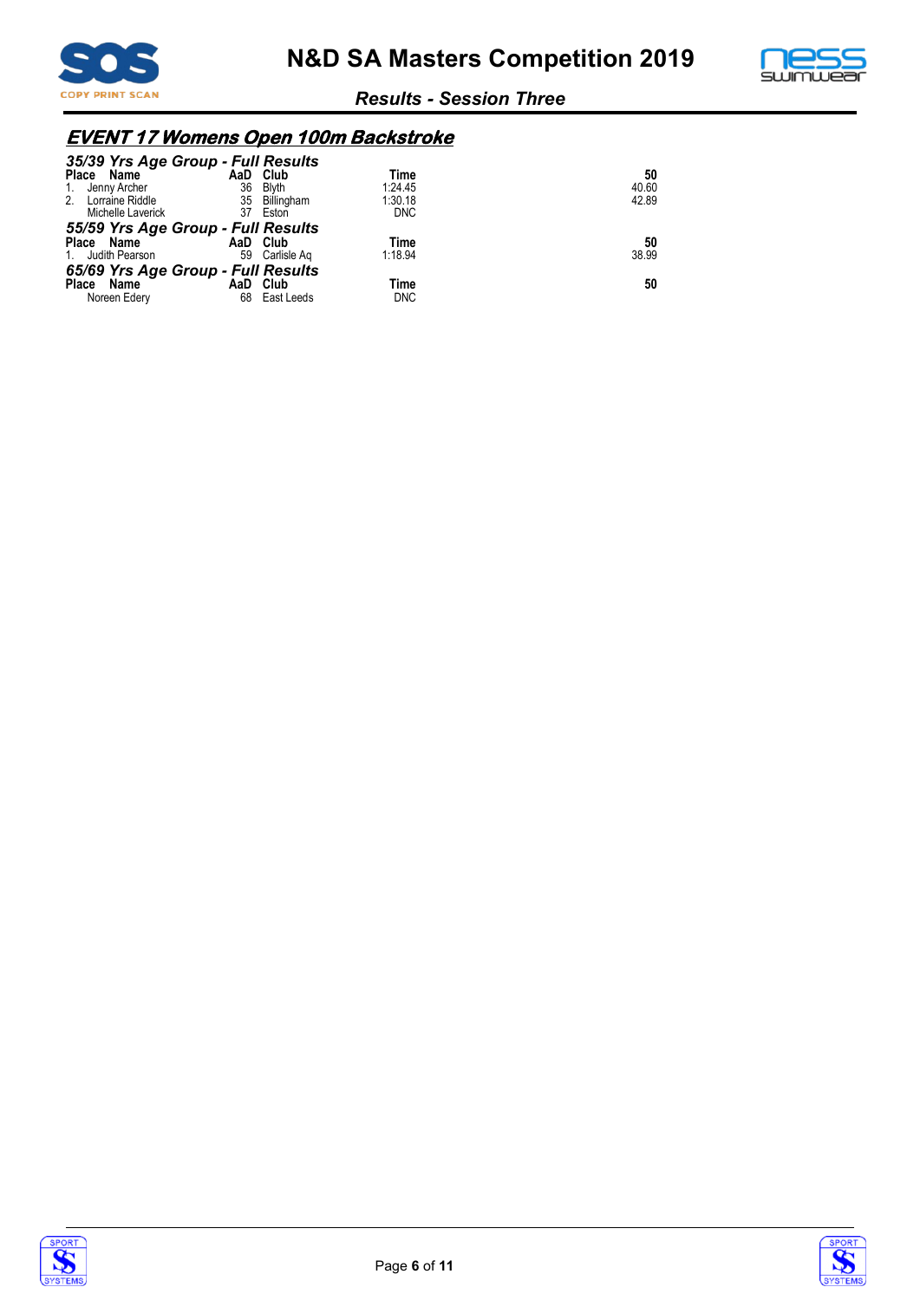



# **EVENT 17 Womens Open 100m Backstroke**

| 35/39 Yrs Age Group - Full Results |          |                |            |       |
|------------------------------------|----------|----------------|------------|-------|
| Place Name                         |          | AaD Club       | Time       | 50    |
| 1. Jenny Archer                    | 36       | <b>Blyth</b>   | 1:24.45    | 40.60 |
| 2. Lorraine Riddle                 |          | 35 Billingham  | 1:30.18    | 42.89 |
| Michelle Laverick                  | 37       | Eston          | <b>DNC</b> |       |
| 55/59 Yrs Age Group - Full Results |          |                |            |       |
| Place Name                         |          | AaD Club       | Time       | 50    |
| 1. Judith Pearson                  |          | 59 Carlisle Ag | 1:18.94    | 38.99 |
| 65/69 Yrs Age Group - Full Results |          |                |            |       |
| Place<br>Name                      | AaD Club |                | Time       | 50    |
| Noreen Edery                       | 68       | East Leeds     | <b>DNC</b> |       |



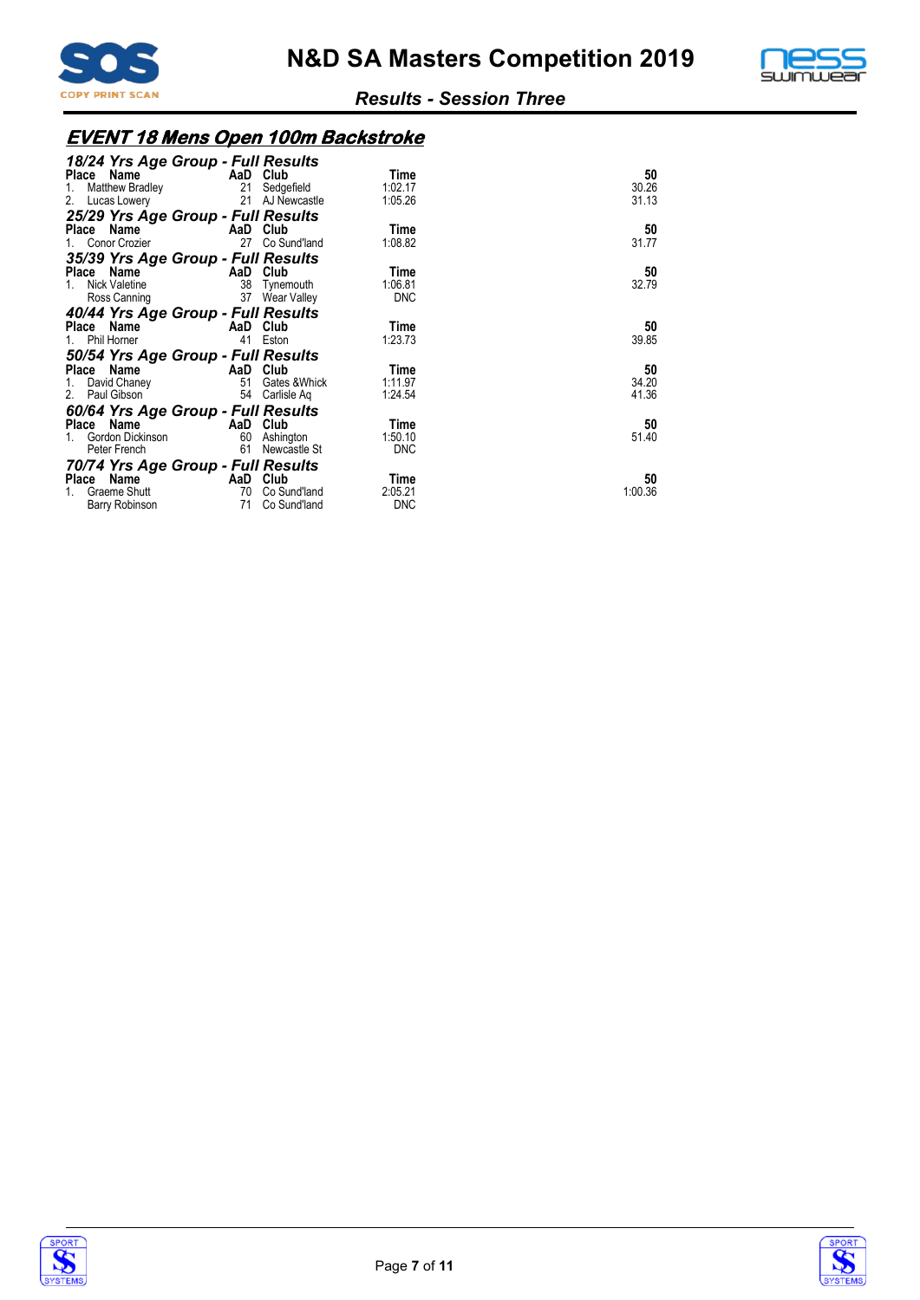



# **EVENT 18 Mens Open 100m Backstroke**

| 18/24 Yrs Age Group - Full Results      |          |                 |            |         |
|-----------------------------------------|----------|-----------------|------------|---------|
| Place Name                              |          | AaD Club        | Time       | 50      |
| Matthew Bradley<br>1.                   |          | 21 Sedgefield   | 1:02.17    | 30.26   |
| 2.<br>Lucas Lowery                      |          | 21 AJ Newcastle | 1:05.26    | 31.13   |
| 25/29 Yrs Age Group - Full Results      |          |                 |            |         |
| Place Name                              |          | AaD Club        | Time       | 50      |
| Conor Crozier<br>1.                     | 27       | Co Sund'land    | 1:08.82    | 31.77   |
| 35/39 Yrs Age Group - Full Results      |          |                 |            |         |
| <b>Example 2</b> AaD Club<br>Place Name |          |                 | Time       | 50      |
| Nick Valetine<br>1.                     |          | 38 Tynemouth    | 1:06.81    | 32.79   |
| Ross Canning                            |          | 37 Wear Valley  | <b>DNC</b> |         |
| 40/44 Yrs Age Group - Full Results      |          |                 |            |         |
| Place Name                              |          | AaD Club        | Time       | 50      |
| 1. Phil Horner                          |          | 41 Eston        | 1:23.73    | 39.85   |
| 50/54 Yrs Age Group - Full Results      |          |                 |            |         |
| Place Name<br><b>Example 2</b> AaD Club |          |                 | Time       | 50      |
| David Chaney<br>1.                      | 51       | Gates &Whick    | 1:11.97    | 34.20   |
| 2. Paul Gibson                          |          | 54 Carlisle Ag  | 1:24.54    | 41.36   |
| 60/64 Yrs Age Group - Full Results      |          |                 |            |         |
| <b>Example 2</b> AaD Club<br>Place Name |          |                 | Time       | 50      |
| Gordon Dickinson                        |          | 60 Ashington    | 1:50.10    | 51.40   |
| Peter French                            | 61       | Newcastle St    | <b>DNC</b> |         |
| 70/74 Yrs Age Group - Full Results      |          |                 |            |         |
| Place Name                              | AaD Club |                 | Time       | 50      |
| Graeme Shutt                            | 70       | Co Sund'land    | 2:05.21    | 1:00.36 |
| Barry Robinson                          | 71       | Co Sund'land    | <b>DNC</b> |         |



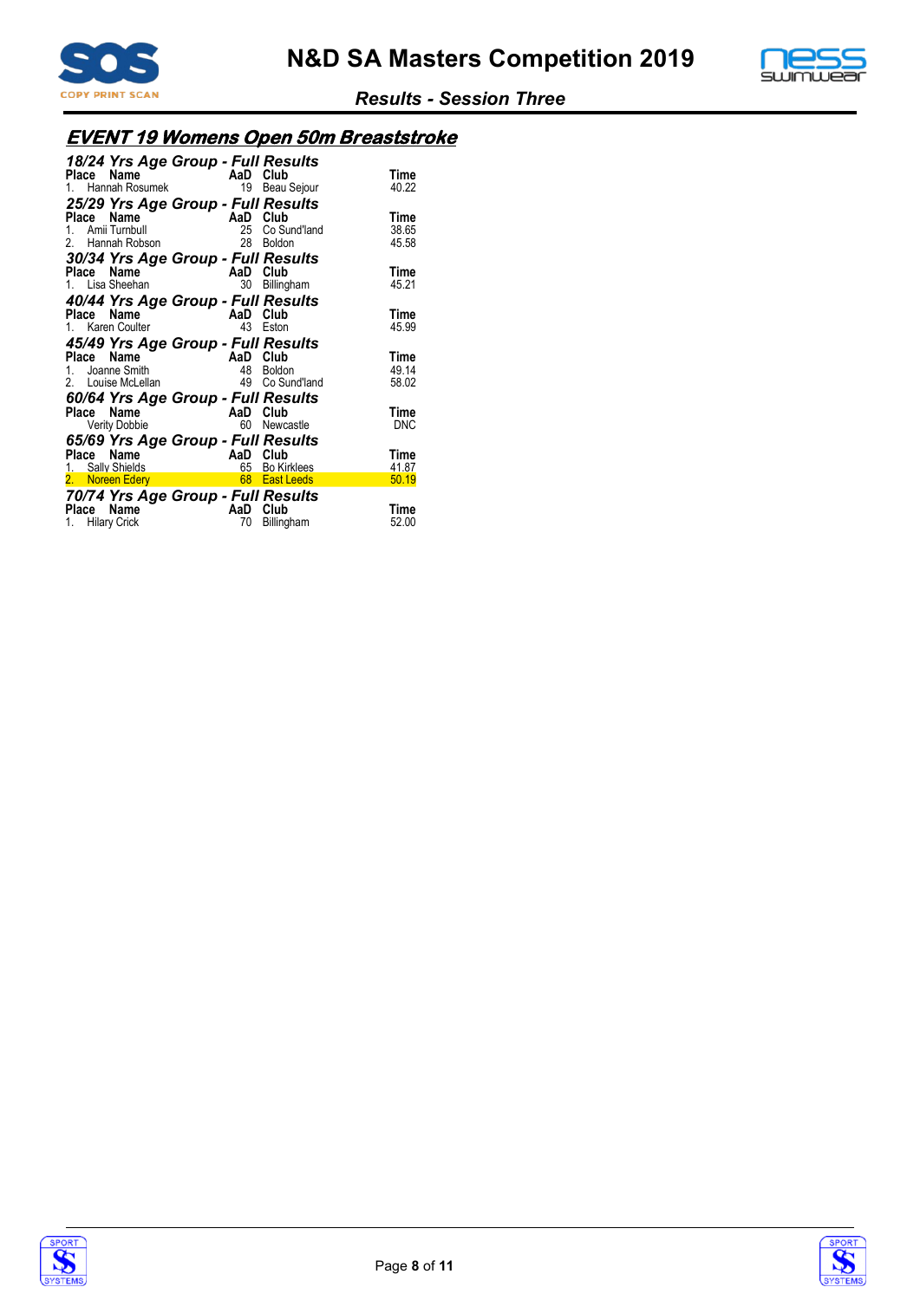



# **EVENT 19 Womens Open 50m Breaststroke**

| 18/24 Yrs Age Group - Full Results                           |          |                |            |
|--------------------------------------------------------------|----------|----------------|------------|
|                                                              | AaD      | Club           | Time       |
| rece <b>ivame</b><br>1. Hannah Rosumek<br><b>05</b> 15 15 16 |          | 19 Beau Sejour | 40.22      |
| 25/29 Yrs Age Group - Full Results                           |          |                |            |
| Place Name                                                   | AaD Club |                | Time       |
| 1. Amii Turnbull                                             | 25       | Co Sund'land   | 38.65      |
| 2. Hannah Robson                                             | 28.      | Boldon         | 45.58      |
| 30/34 Yrs Age Group - Full Results                           |          |                |            |
| Place Name                                                   | AaD Club |                | Time       |
| 1. Lisa Sheehan                                              | 30       |                | 45.21      |
|                                                              |          | Billingham     |            |
| 40/44 Yrs Age Group - Full Results                           |          |                |            |
| Place Name                                                   | AaD Club |                | Time       |
| 1. Karen Coulter                                             | 43       | Eston          | 45.99      |
| 45/49 Yrs Age Group - Full Results                           |          |                |            |
| Place Name                                                   | AaD Club |                | Time       |
| 1. Joanne Smith                                              | 48       | <b>Boldon</b>  | 49.14      |
| 2. Louise McLellan                                           | 49       | Co Sund'land   | 58.02      |
| 60/64 Yrs Age Group - Full Results                           |          |                |            |
| Place Name                                                   | AaD Club |                | Time       |
| <b>Verity Dobbie</b>                                         | 60       | Newcastle      | <b>DNC</b> |
|                                                              |          |                |            |
| 65/69 Yrs Age Group - Full Results                           |          |                |            |
| Name<br>Place                                                | AaD Club |                | Time       |
|                                                              |          |                | 41.87      |
|                                                              |          |                | 50.19      |
| 70/74 Yrs Age Group - Full Results                           |          |                |            |
| Name<br>Place                                                | AaD Club |                | Time       |
| 1. Hilary Crick                                              | 70       | Billingham     | 52.00      |



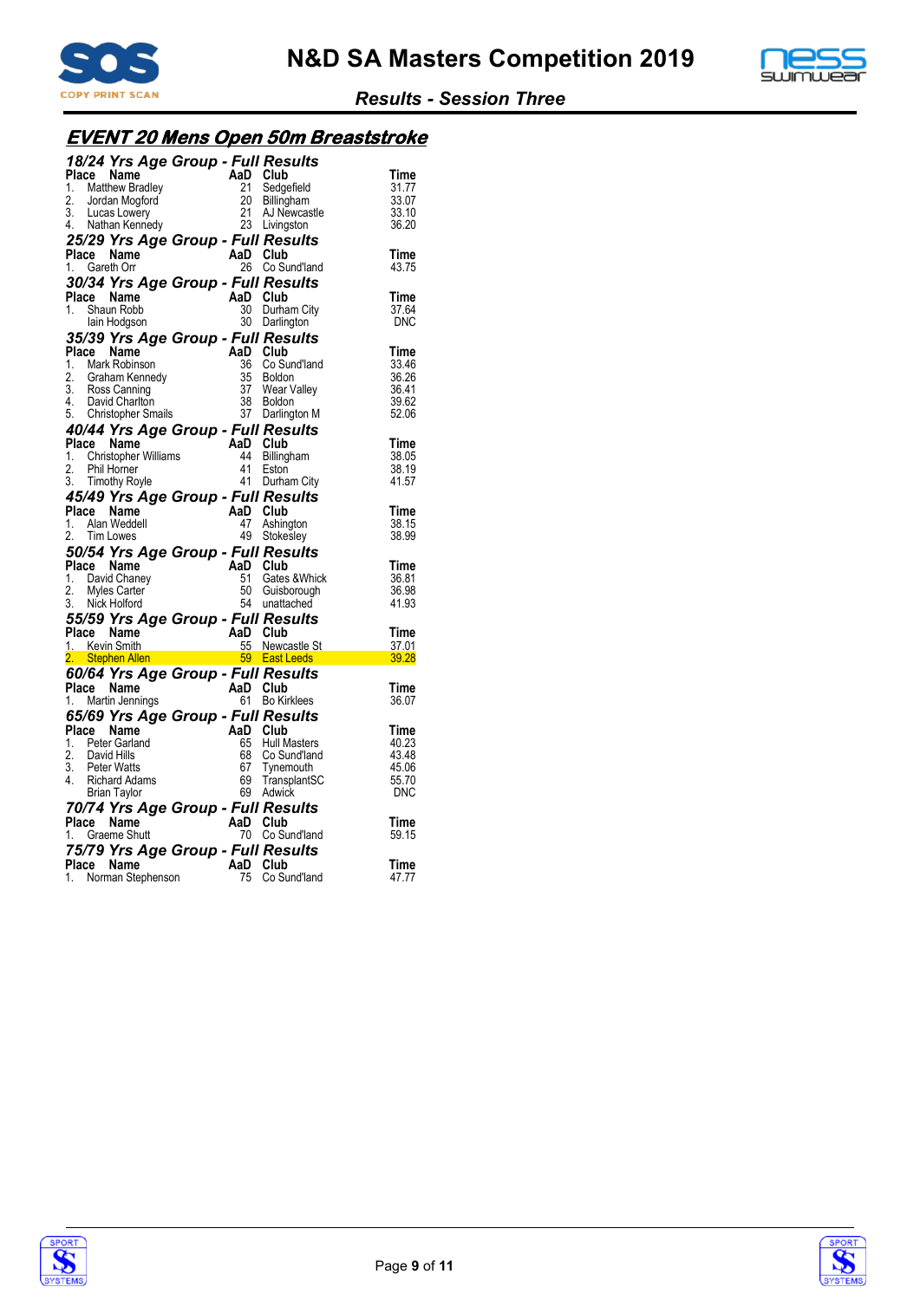



# **EVENT 20 Mens Open 50m Breaststroke**

|    |       | 18/24 Yrs Age Group - Full Results                                              |                      |                     |                       |
|----|-------|---------------------------------------------------------------------------------|----------------------|---------------------|-----------------------|
|    | Place | Name                                                                            | AaD Club             |                     | Time                  |
| 1. |       | Matthew Bradley                                                                 | 21                   | Sedgefield          | 31.77                 |
| 2. |       | Jordan Mogford                                                                  | 20                   | Billingham          | 33.07                 |
|    |       |                                                                                 | 21                   | AJ Newcastle        | 33.10                 |
|    |       | 3. Lucas Lowery<br>4. Nathan Kennedy                                            | 23                   | Livingston          | 36.20                 |
|    |       |                                                                                 |                      |                     |                       |
|    |       | 25/29 Yrs Age Group - Full Results                                              |                      |                     |                       |
|    | Place | Name                                                                            | AaD Club             |                     | Time                  |
|    |       | 1. Gareth Orr                                                                   | 26                   | Co Sund'land        | 43.75                 |
|    |       | 30/34 Yrs Age Group - Full Results                                              |                      |                     |                       |
|    |       | Place Name                                                                      | AaD Club             |                     | Time                  |
| 1. |       | Shaun Robb                                                                      | 30                   | Durham City         | 37.64                 |
|    |       | lain Hodgson                                                                    |                      | 30 Darlington       | DNC                   |
|    |       | 35/39 Yrs Age Group - Full Results                                              |                      |                     |                       |
|    |       | Place Name                                                                      | AaD Club             |                     | Time                  |
|    |       | 1. Mark Robinson                                                                | 36                   | Co Sund'land        | 33.46                 |
| 2. |       | Graham Kennedy                                                                  | 35                   | Boldon              | 36.26                 |
|    |       | 3. Ross Canning<br>4. David Charlton                                            | 37                   | Wear Valley         | 36.41                 |
|    |       |                                                                                 |                      | Boldon              | 39.62                 |
|    |       | 5. Christopher Smails                                                           | $\frac{38}{37}$      | Darlington M        | 52.06                 |
|    |       | 40/44 Yrs Age Group - Full Results                                              |                      |                     |                       |
|    |       | 1. Christopher Williams<br>1. Christopher Williams 44 Billing<br>2. Phil Horner |                      |                     | Time                  |
|    |       |                                                                                 |                      | Billingham          | 38.05                 |
|    |       |                                                                                 |                      | Eston               | 38.19                 |
|    |       | 3. Timothy Royle                                                                | 41                   | Durham City         | 41.57                 |
|    |       |                                                                                 |                      |                     |                       |
|    |       | 45/49 Yrs Age Group - Full Results                                              |                      |                     |                       |
|    |       | Place Name                                                                      | AaD Club             |                     | Time                  |
|    |       |                                                                                 |                      |                     |                       |
| 1. |       | Alan Weddell                                                                    | 47                   | Ashington           | 38.15                 |
| 2. |       | Tim Lowes                                                                       | 49                   | Stokesley           | 38.99                 |
|    |       |                                                                                 |                      |                     |                       |
|    |       | 50/54 Yrs Age Group - Full Results<br>Place Name                                | AaD Club             |                     | Time                  |
|    |       |                                                                                 | 51                   | Gates & Whick       | 36.81                 |
| 2. |       | 1. David Chaney<br>Myles Carter                                                 | 50                   | Guisborough         | 36.98                 |
|    |       | 3. Nick Holford                                                                 |                      | 54 unattached       | 41.93                 |
|    |       |                                                                                 |                      |                     |                       |
|    |       | 55/59 Yrs Age Group - Full Results                                              |                      |                     |                       |
|    |       | Place Name                                                                      |                      |                     | Time                  |
|    |       | 1. Kevin Smith                                                                  | AaD Club<br>55 Newca | 55 Newcastle St     | 37.01                 |
|    |       | 2. Stephen Allen i The                                                          |                      | 59 East Leeds       | <u>a Tan</u><br>39.28 |
|    |       | 60/64 Yrs Age Group - Full Results                                              |                      |                     |                       |
|    |       | Place Name                                                                      | AaD Club             |                     | Time                  |
|    |       | 1. Martin Jennings                                                              | 61                   | <b>Bo Kirklees</b>  | 36.07                 |
|    |       | 65/69 Yrs Age Group - Full Results                                              |                      |                     |                       |
|    |       | Place Name                                                                      | AaD                  | Club                | Time                  |
|    |       | 1. Peter Garland                                                                | 65                   | <b>Hull Masters</b> | 40.23                 |
| 2. |       | David Hills                                                                     | 68                   | Co Sund'land        | 43.48                 |
| 3. |       | <b>Peter Watts</b>                                                              | 67                   | Tynemouth           | 45.06                 |
| 4. |       | Richard Adams                                                                   | 69                   | TransplantSC        | 55.70                 |
|    |       | <b>Brian Taylor</b>                                                             |                      | 69 Adwick           | <b>DNC</b>            |
|    |       | 70/74 Yrs Age Group - Full Results                                              |                      |                     |                       |
|    |       | Place Name                                                                      | AaD Club             |                     | Time                  |
|    |       | 1. Graeme Shutt                                                                 |                      | 70 Co Sund'land     | 59.15                 |
|    |       |                                                                                 |                      |                     |                       |
|    |       | 75/79 Yrs Age Group - Full Results                                              |                      |                     |                       |
|    |       | Place Name<br>1. Norman Stephenson                                              | AaD Club<br>75       | Co Sund'land        | Time<br>47.77         |



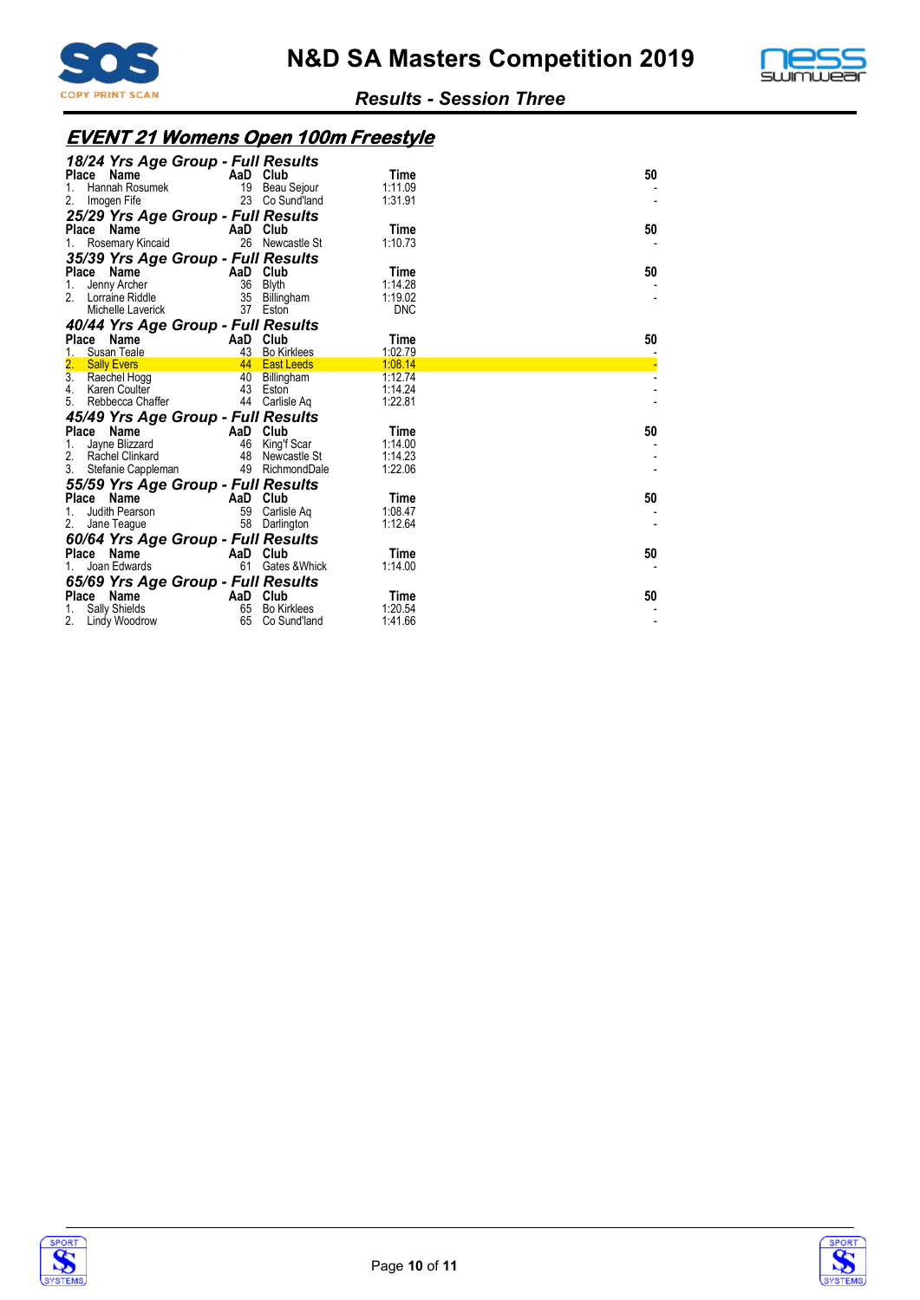



# **EVENT 21 Womens Open 100m Freestyle**

| 18/24 Yrs Age Group - Full Results<br>Place Name<br>Hannah Rosumek<br>1.<br>2.<br>Imogen Fife                           | 23                         | AaD Club<br>19 Beau Sejour<br>Co Sund'land                 | Time<br>1:11.09<br>1:31.91               | 50 |
|-------------------------------------------------------------------------------------------------------------------------|----------------------------|------------------------------------------------------------|------------------------------------------|----|
| 25/29 Yrs Age Group - Full Results<br>Place<br>Name<br>Rosemary Kincaid                                                 | 26                         | AaD Club<br>Newcastle St                                   | Time<br>1:10.73                          | 50 |
| 35/39 Yrs Age Group - Full Results<br>Place Name<br>Jenny Archer<br>1.<br>2.<br>Lorraine Riddle<br>Michelle Laverick    | AaD Club<br>36<br>35<br>37 | Blyth<br>Billingham<br>Eston                               | Time<br>1:14.28<br>1:19.02<br><b>DNC</b> | 50 |
| 40/44 Yrs Age Group - Full Results<br><b>Place</b><br>Name<br>Susan Teale                                               | AaD Club<br>43             | <b>Bo Kirklees</b>                                         | Time<br>1:02.79                          | 50 |
| 2.<br><b>Sally Evers</b><br>3.<br>Raechel Hogg<br>4.<br>Karen Coulter<br>Rebbecca Chaffer<br>5.                         | 40                         | 44 East Leeds<br>Billingham<br>43 Eston<br>44 Carlisle Aq  | 1:08.14<br>1:12.74<br>1:14.24<br>1:22.81 |    |
| 45/49 Yrs Age Group - Full Results<br>Place Name<br>Jayne Blizzard<br>1.<br>2.<br>Rachel Clinkard<br>Stefanie Cappleman | 48<br>49                   | AaD Club<br>46 King'f Scar<br>Newcastle St<br>RichmondDale | Time<br>1:14.00<br>1:14.23<br>1:22.06    | 50 |
| 55/59 Yrs Age Group - Full Results<br>Place<br>Name<br>Judith Pearson<br>Jane Teague<br>2.                              | 59<br>58                   | AaD Club<br>Carlisle Aq<br>Darlington                      | Time<br>1:08.47<br>1:12.64               | 50 |
| 60/64 Yrs Age Group - Full Results<br>Place Name<br>Joan Edwards<br>65/69 Yrs Age Group - Full Results                  | AaD Club<br>61             | Gates & Whick                                              | Time<br>1:14.00                          | 50 |
| Name<br><b>Place</b><br>Sally Shields<br>2.<br>Lindy Woodrow                                                            | AaD Club<br>65<br>65       | <b>Bo Kirklees</b><br>Co Sund'land                         | Time<br>1:20.54<br>1:41.66               | 50 |